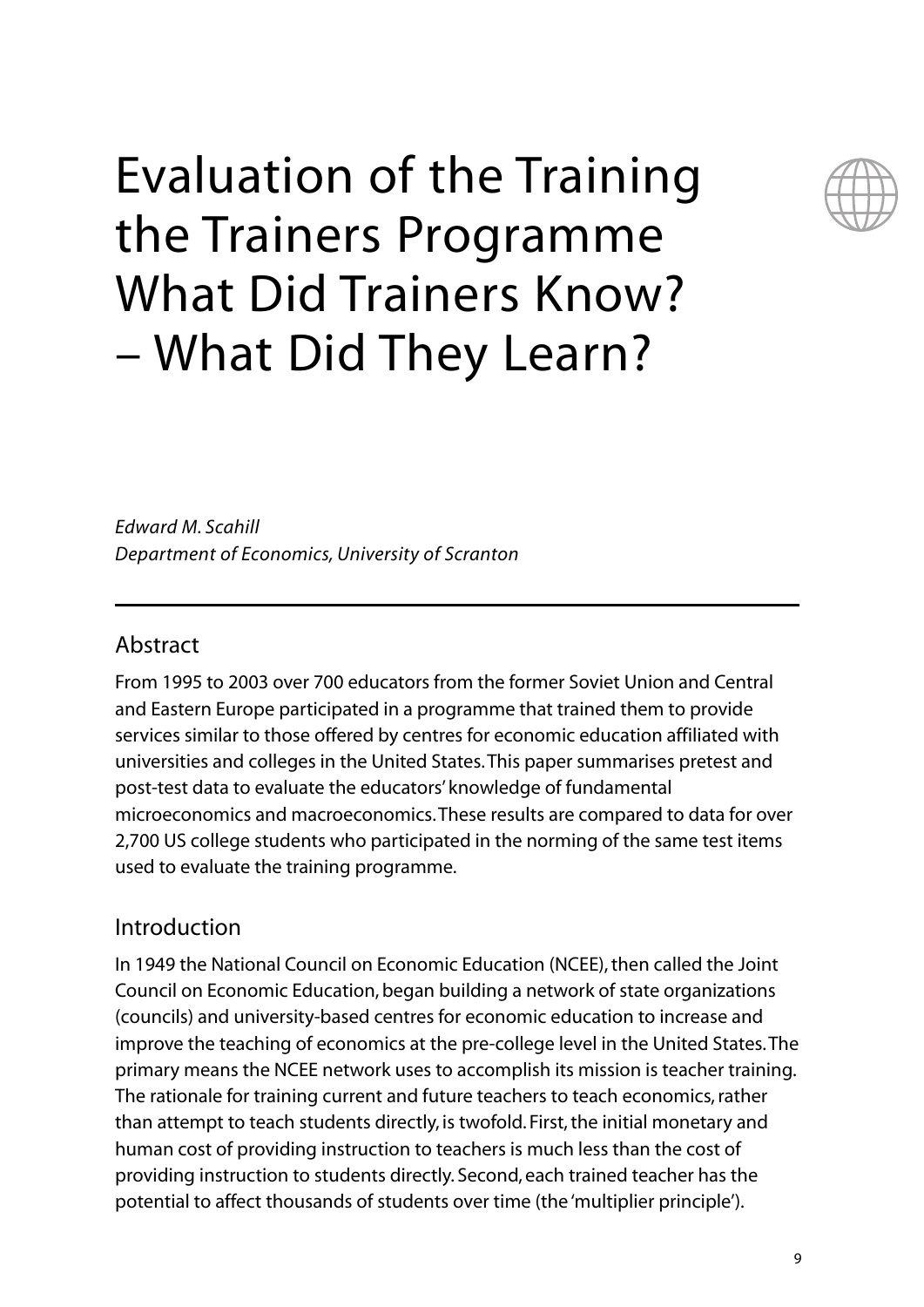# Evaluation of the Training the Trainers Programme What Did Trainers Know? – What Did They Learn?



*Edward M. Scahill Department of Economics, University of Scranton*

## Abstract

From 1995 to 2003 over 700 educators from the former Soviet Union and Central and Eastern Europe participated in a programme that trained them to provide services similar to those offered by centres for economic education affiliated with universities and colleges in the United States.This paper summarises pretest and post-test data to evaluate the educators' knowledge of fundamental microeconomics and macroeconomics.These results are compared to data for over 2,700 US college students who participated in the norming of the same test items used to evaluate the training programme.

# Introduction

In 1949 the National Council on Economic Education (NCEE), then called the Joint Council on Economic Education, began building a network of state organizations (councils) and university-based centres for economic education to increase and improve the teaching of economics at the pre-college level in the United States.The primary means the NCEE network uses to accomplish its mission is teacher training. The rationale for training current and future teachers to teach economics, rather than attempt to teach students directly, is twofold. First, the initial monetary and human cost of providing instruction to teachers is much less than the cost of providing instruction to students directly. Second, each trained teacher has the potential to affect thousands of students over time (the 'multiplier principle').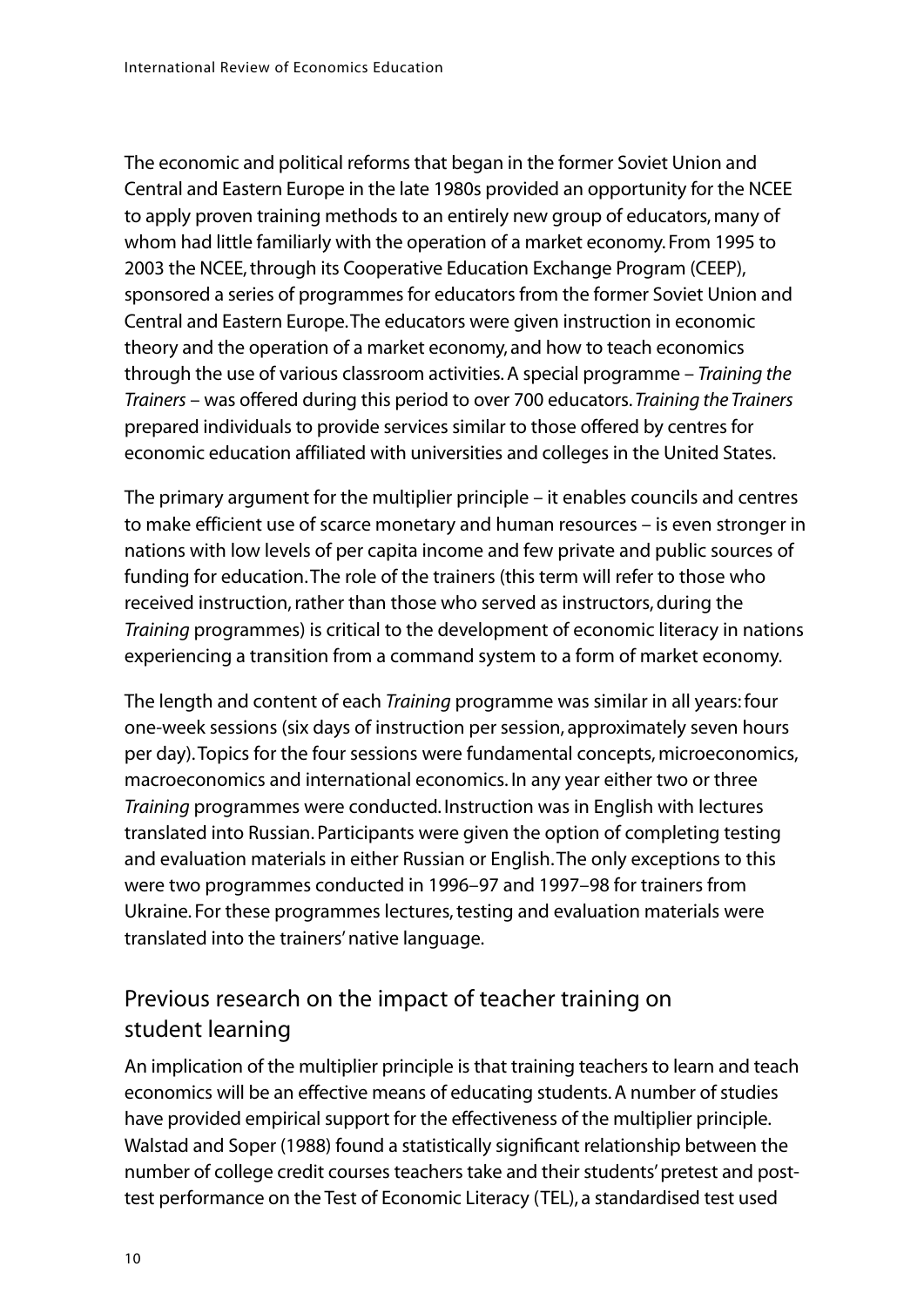The economic and political reforms that began in the former Soviet Union and Central and Eastern Europe in the late 1980s provided an opportunity for the NCEE to apply proven training methods to an entirely new group of educators, many of whom had little familiarly with the operation of a market economy. From 1995 to 2003 the NCEE, through its Cooperative Education Exchange Program (CEEP), sponsored a series of programmes for educators from the former Soviet Union and Central and Eastern Europe.The educators were given instruction in economic theory and the operation of a market economy, and how to teach economics through the use of various classroom activities. A special programme – *Training the Trainers* – was offered during this period to over 700 educators.*Training the Trainers* prepared individuals to provide services similar to those offered by centres for economic education affiliated with universities and colleges in the United States.

The primary argument for the multiplier principle – it enables councils and centres to make efficient use of scarce monetary and human resources – is even stronger in nations with low levels of per capita income and few private and public sources of funding for education.The role of the trainers (this term will refer to those who received instruction, rather than those who served as instructors, during the *Training* programmes) is critical to the development of economic literacy in nations experiencing a transition from a command system to a form of market economy.

The length and content of each *Training* programme was similar in all years: four one-week sessions (six days of instruction per session, approximately seven hours per day).Topics for the four sessions were fundamental concepts, microeconomics, macroeconomics and international economics. In any year either two or three *Training* programmes were conducted. Instruction was in English with lectures translated into Russian. Participants were given the option of completing testing and evaluation materials in either Russian or English.The only exceptions to this were two programmes conducted in 1996–97 and 1997–98 for trainers from Ukraine. For these programmes lectures, testing and evaluation materials were translated into the trainers' native language.

# Previous research on the impact of teacher training on student learning

An implication of the multiplier principle is that training teachers to learn and teach economics will be an effective means of educating students. A number of studies have provided empirical support for the effectiveness of the multiplier principle. Walstad and Soper (1988) found a statistically significant relationship between the number of college credit courses teachers take and their students' pretest and posttest performance on the Test of Economic Literacy (TEL), a standardised test used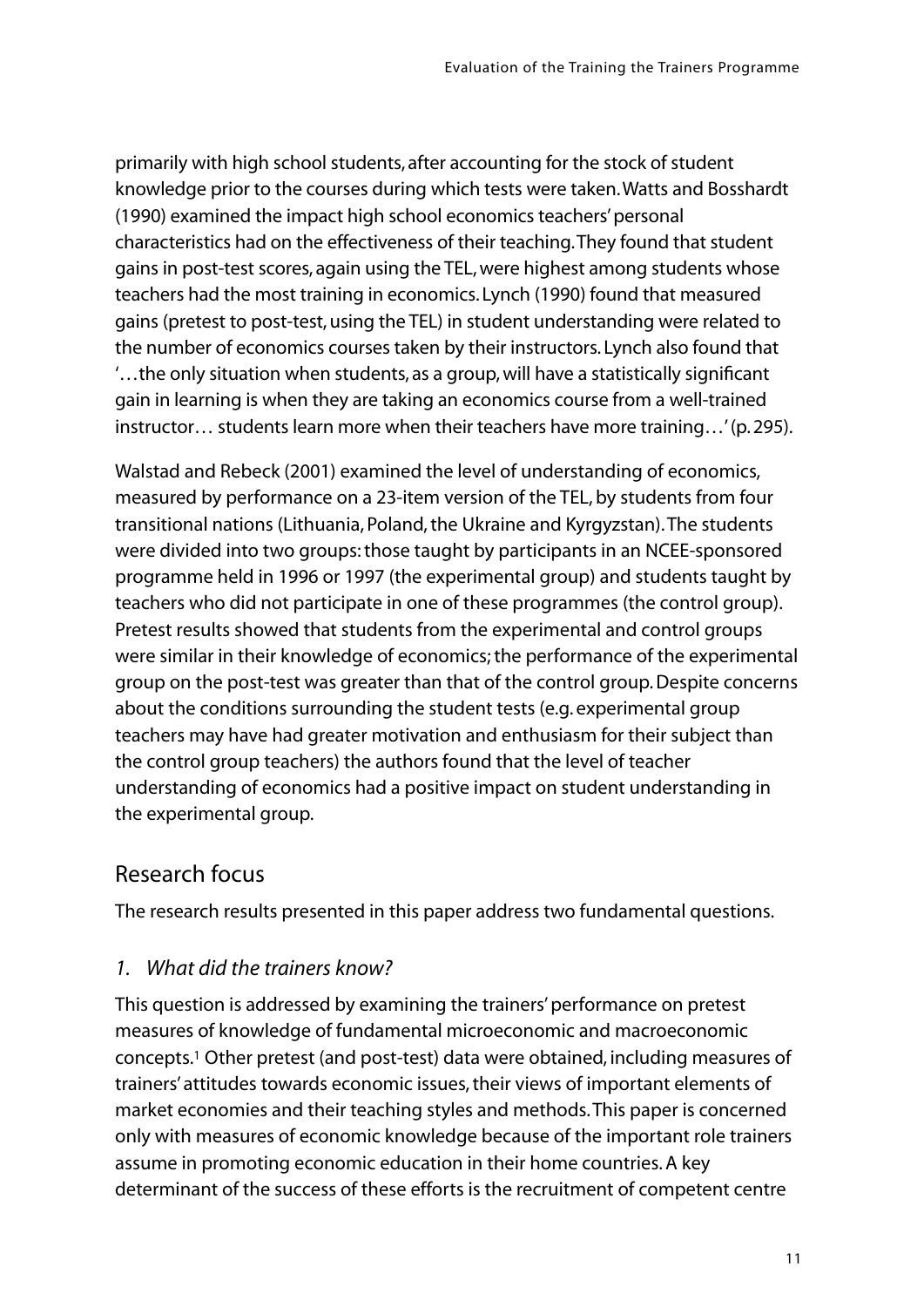primarily with high school students, after accounting for the stock of student knowledge prior to the courses during which tests were taken.Watts and Bosshardt (1990) examined the impact high school economics teachers' personal characteristics had on the effectiveness of their teaching.They found that student gains in post-test scores, again using the TEL, were highest among students whose teachers had the most training in economics. Lynch (1990) found that measured gains (pretest to post-test, using the TEL) in student understanding were related to the number of economics courses taken by their instructors. Lynch also found that '…the only situation when students, as a group, will have a statistically significant gain in learning is when they are taking an economics course from a well-trained instructor… students learn more when their teachers have more training…' (p. 295).

Walstad and Rebeck (2001) examined the level of understanding of economics, measured by performance on a 23-item version of the TEL, by students from four transitional nations (Lithuania, Poland, the Ukraine and Kyrgyzstan).The students were divided into two groups: those taught by participants in an NCEE-sponsored programme held in 1996 or 1997 (the experimental group) and students taught by teachers who did not participate in one of these programmes (the control group). Pretest results showed that students from the experimental and control groups were similar in their knowledge of economics; the performance of the experimental group on the post-test was greater than that of the control group. Despite concerns about the conditions surrounding the student tests (e.g. experimental group teachers may have had greater motivation and enthusiasm for their subject than the control group teachers) the authors found that the level of teacher understanding of economics had a positive impact on student understanding in the experimental group.

# Research focus

The research results presented in this paper address two fundamental questions.

## *1. What did the trainers know?*

This question is addressed by examining the trainers' performance on pretest measures of knowledge of fundamental microeconomic and macroeconomic concepts.1 Other pretest (and post-test) data were obtained, including measures of trainers' attitudes towards economic issues, their views of important elements of market economies and their teaching styles and methods.This paper is concerned only with measures of economic knowledge because of the important role trainers assume in promoting economic education in their home countries. A key determinant of the success of these efforts is the recruitment of competent centre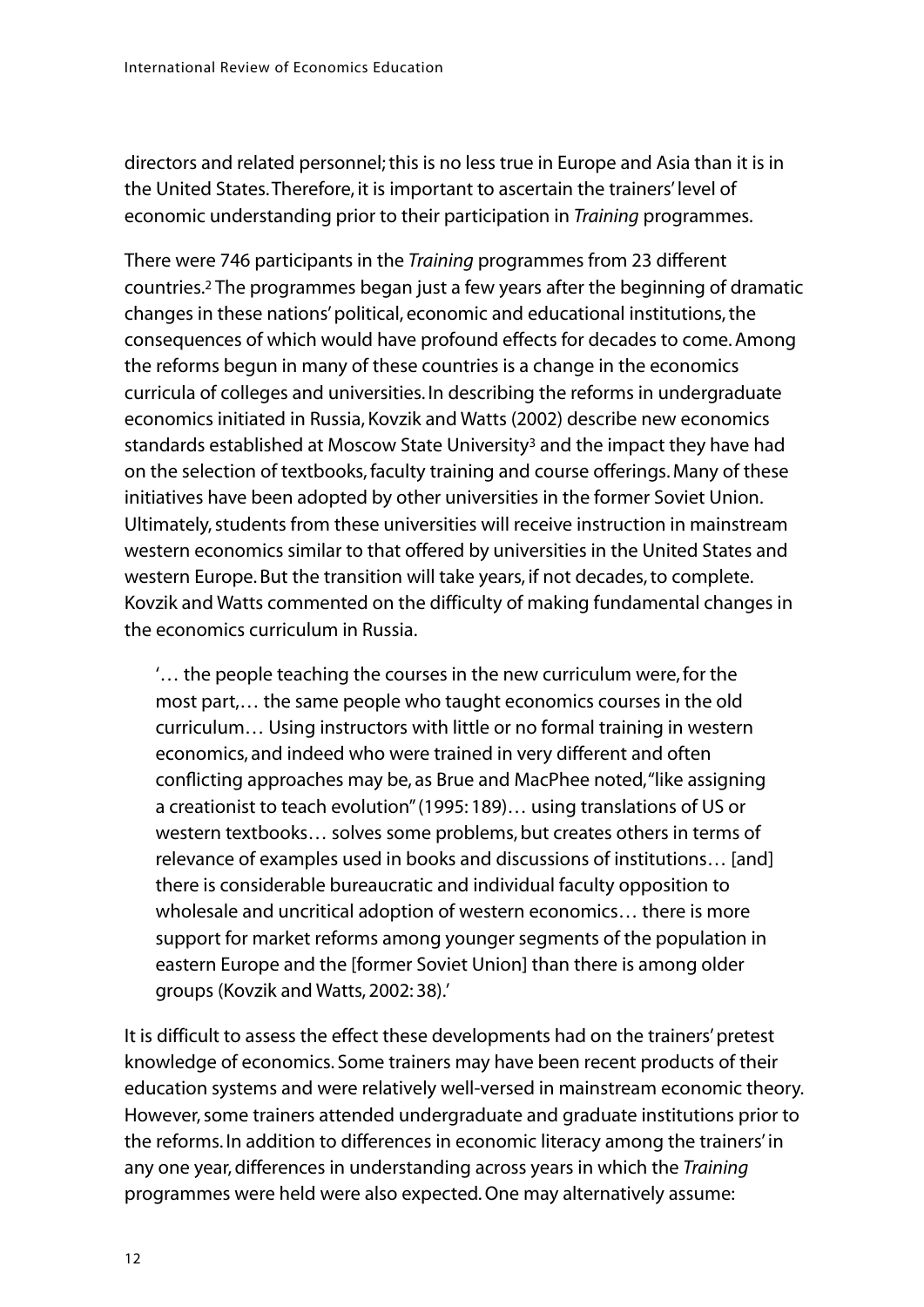directors and related personnel; this is no less true in Europe and Asia than it is in the United States.Therefore, it is important to ascertain the trainers' level of economic understanding prior to their participation in *Training* programmes.

There were 746 participants in the *Training* programmes from 23 different countries.2 The programmes began just a few years after the beginning of dramatic changes in these nations' political, economic and educational institutions, the consequences of which would have profound effects for decades to come. Among the reforms begun in many of these countries is a change in the economics curricula of colleges and universities. In describing the reforms in undergraduate economics initiated in Russia, Kovzik and Watts (2002) describe new economics standards established at Moscow State University3 and the impact they have had on the selection of textbooks, faculty training and course offerings. Many of these initiatives have been adopted by other universities in the former Soviet Union. Ultimately, students from these universities will receive instruction in mainstream western economics similar to that offered by universities in the United States and western Europe. But the transition will take years, if not decades, to complete. Kovzik and Watts commented on the difficulty of making fundamental changes in the economics curriculum in Russia.

'… the people teaching the courses in the new curriculum were, for the most part,… the same people who taught economics courses in the old curriculum… Using instructors with little or no formal training in western economics, and indeed who were trained in very different and often conflicting approaches may be, as Brue and MacPhee noted,"like assigning a creationist to teach evolution" (1995: 189)… using translations of US or western textbooks… solves some problems, but creates others in terms of relevance of examples used in books and discussions of institutions… [and] there is considerable bureaucratic and individual faculty opposition to wholesale and uncritical adoption of western economics… there is more support for market reforms among younger segments of the population in eastern Europe and the [former Soviet Union] than there is among older groups (Kovzik and Watts, 2002: 38).'

It is difficult to assess the effect these developments had on the trainers' pretest knowledge of economics. Some trainers may have been recent products of their education systems and were relatively well-versed in mainstream economic theory. However, some trainers attended undergraduate and graduate institutions prior to the reforms. In addition to differences in economic literacy among the trainers' in any one year, differences in understanding across years in which the *Training* programmes were held were also expected. One may alternatively assume: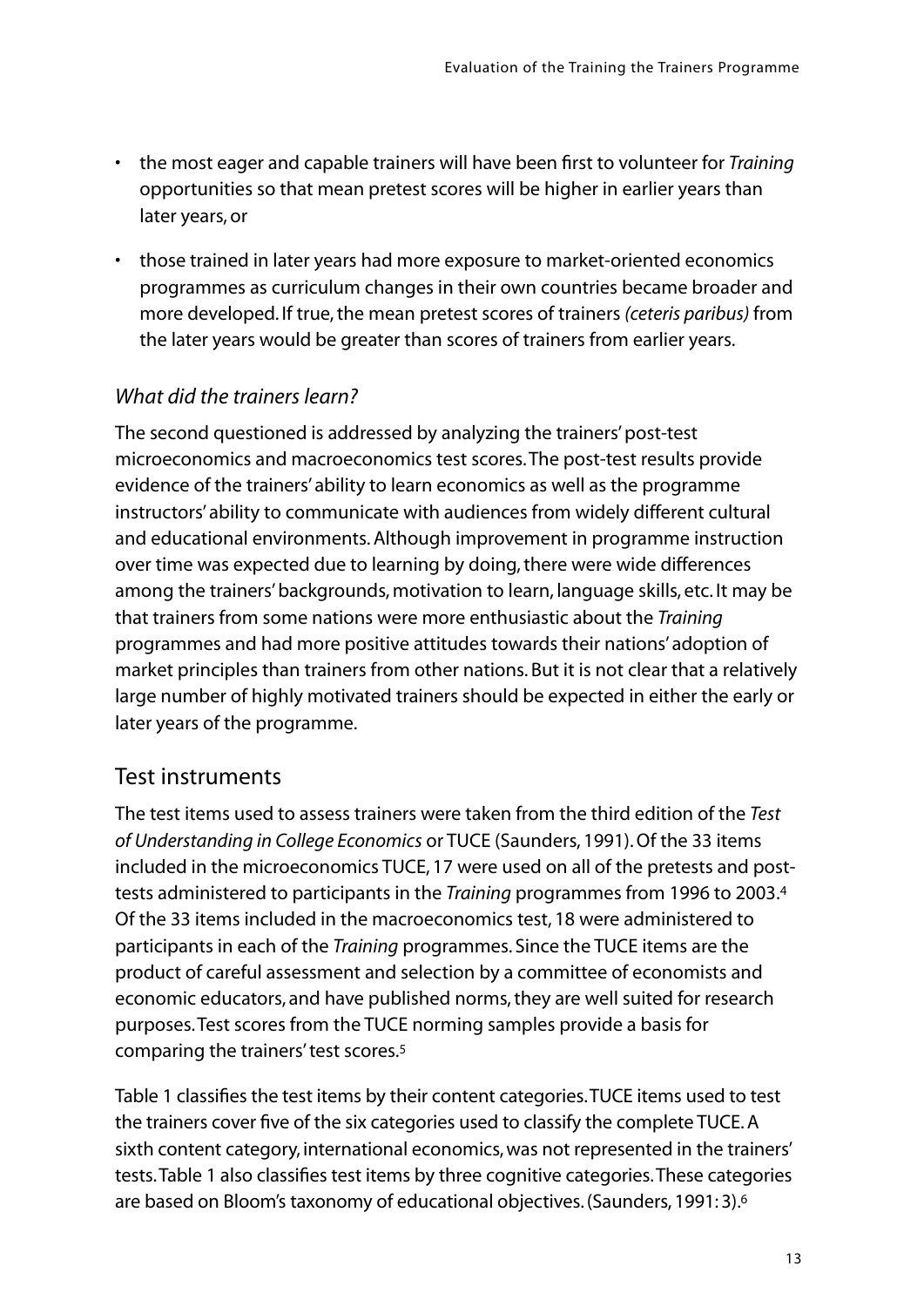- the most eager and capable trainers will have been first to volunteer for *Training* opportunities so that mean pretest scores will be higher in earlier years than later years, or
- those trained in later years had more exposure to market-oriented economics programmes as curriculum changes in their own countries became broader and more developed. If true, the mean pretest scores of trainers *(ceteris paribus)* from the later years would be greater than scores of trainers from earlier years.

# *What did the trainers learn?*

The second questioned is addressed by analyzing the trainers' post-test microeconomics and macroeconomics test scores.The post-test results provide evidence of the trainers' ability to learn economics as well as the programme instructors' ability to communicate with audiences from widely different cultural and educational environments. Although improvement in programme instruction over time was expected due to learning by doing, there were wide differences among the trainers' backgrounds, motivation to learn, language skills, etc. It may be that trainers from some nations were more enthusiastic about the *Training* programmes and had more positive attitudes towards their nations' adoption of market principles than trainers from other nations. But it is not clear that a relatively large number of highly motivated trainers should be expected in either the early or later years of the programme.

# Test instruments

The test items used to assess trainers were taken from the third edition of the *Test of Understanding in College Economics* or TUCE (Saunders, 1991). Of the 33 items included in the microeconomics TUCE, 17 were used on all of the pretests and posttests administered to participants in the *Training* programmes from 1996 to 2003.4 Of the 33 items included in the macroeconomics test, 18 were administered to participants in each of the *Training* programmes. Since the TUCE items are the product of careful assessment and selection by a committee of economists and economic educators, and have published norms, they are well suited for research purposes.Test scores from the TUCE norming samples provide a basis for comparing the trainers' test scores.5

Table 1 classifies the test items by their content categories.TUCE items used to test the trainers cover five of the six categories used to classify the complete TUCE. A sixth content category, international economics, was not represented in the trainers' tests.Table 1 also classifies test items by three cognitive categories.These categories are based on Bloom's taxonomy of educational objectives. (Saunders, 1991: 3).6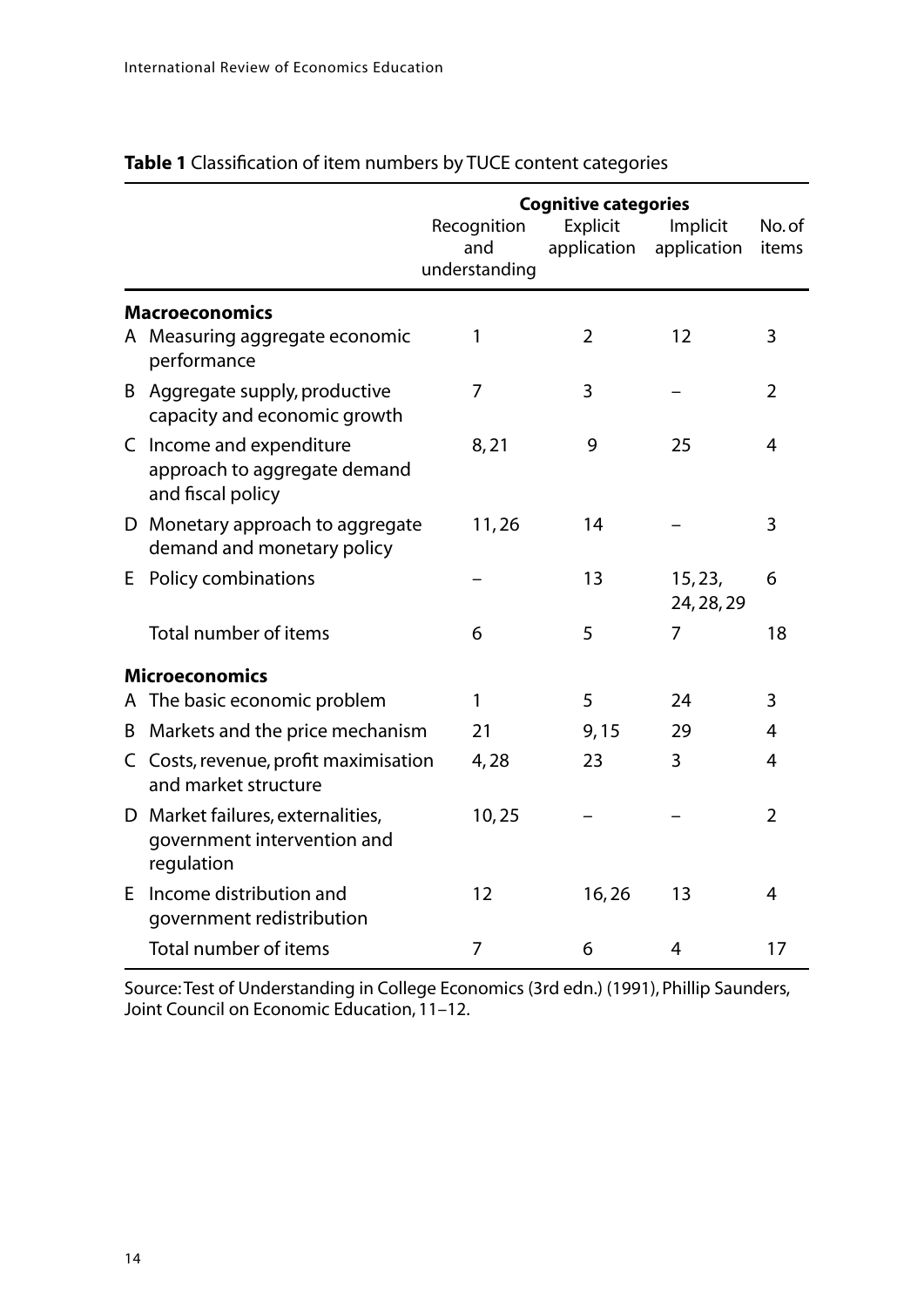|    |                                                                                | <b>Cognitive categories</b> |                         |                         |                 |  |
|----|--------------------------------------------------------------------------------|-----------------------------|-------------------------|-------------------------|-----------------|--|
|    |                                                                                | Recognition<br>and          | Explicit<br>application | Implicit<br>application | No. of<br>items |  |
|    |                                                                                | understanding               |                         |                         |                 |  |
|    | <b>Macroeconomics</b>                                                          |                             |                         |                         |                 |  |
|    | A Measuring aggregate economic<br>performance                                  | 1                           | $\overline{2}$          | 12                      | 3               |  |
|    | B Aggregate supply, productive<br>capacity and economic growth                 | 7                           | 3                       |                         | 2               |  |
|    | C Income and expenditure<br>approach to aggregate demand<br>and fiscal policy  | 8,21                        | 9                       | 25                      | 4               |  |
|    | D Monetary approach to aggregate<br>demand and monetary policy                 | 11,26                       | 14                      |                         | 3               |  |
| E. | Policy combinations                                                            |                             | 13                      | 15, 23,<br>24, 28, 29   | 6               |  |
|    | Total number of items                                                          | 6                           | 5                       | 7                       | 18              |  |
|    | <b>Microeconomics</b>                                                          |                             |                         |                         |                 |  |
|    | A The basic economic problem                                                   | 1                           | 5                       | 24                      | 3               |  |
|    | B Markets and the price mechanism                                              | 21                          | 9,15                    | 29                      | 4               |  |
|    | C Costs, revenue, profit maximisation<br>and market structure                  | 4,28                        | 23                      | 3                       | 4               |  |
|    | D Market failures, externalities,<br>government intervention and<br>regulation | 10,25                       |                         |                         | $\overline{2}$  |  |
|    | E Income distribution and<br>government redistribution                         | 12                          | 16,26                   | 13                      | 4               |  |
|    | Total number of items                                                          | 7                           | 6                       | 4                       | 17              |  |

## **Table 1** Classification of item numbers by TUCE content categories

Source:Test of Understanding in College Economics (3rd edn.) (1991), Phillip Saunders, Joint Council on Economic Education, 11–12.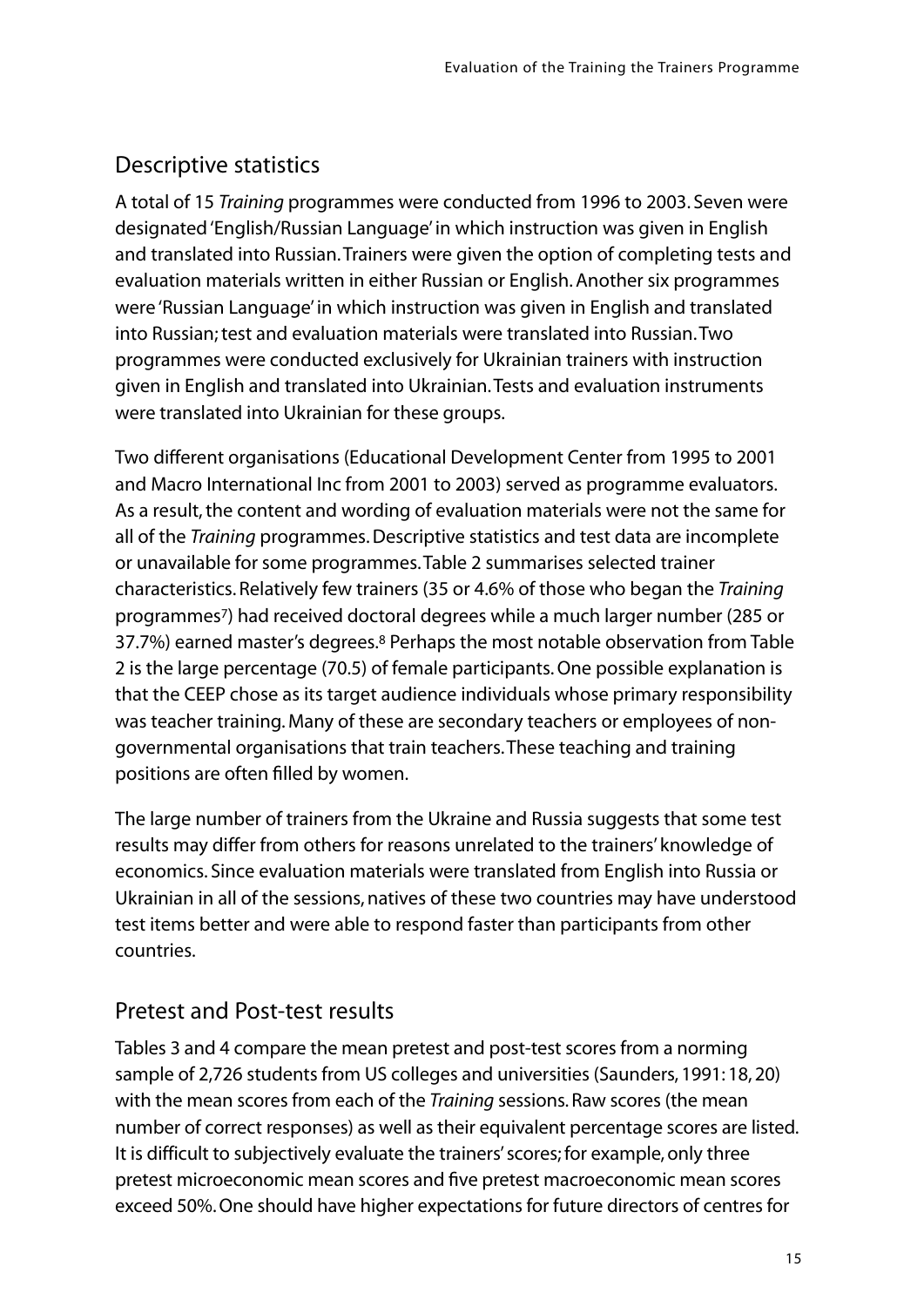# Descriptive statistics

A total of 15 *Training* programmes were conducted from 1996 to 2003. Seven were designated 'English/Russian Language' in which instruction was given in English and translated into Russian.Trainers were given the option of completing tests and evaluation materials written in either Russian or English. Another six programmes were 'Russian Language' in which instruction was given in English and translated into Russian; test and evaluation materials were translated into Russian.Two programmes were conducted exclusively for Ukrainian trainers with instruction given in English and translated into Ukrainian.Tests and evaluation instruments were translated into Ukrainian for these groups.

Two different organisations (Educational Development Center from 1995 to 2001 and Macro International Inc from 2001 to 2003) served as programme evaluators. As a result, the content and wording of evaluation materials were not the same for all of the *Training* programmes. Descriptive statistics and test data are incomplete or unavailable for some programmes.Table 2 summarises selected trainer characteristics. Relatively few trainers (35 or 4.6% of those who began the *Training* programmes7) had received doctoral degrees while a much larger number (285 or 37.7%) earned master's degrees.8 Perhaps the most notable observation from Table 2 is the large percentage (70.5) of female participants. One possible explanation is that the CEEP chose as its target audience individuals whose primary responsibility was teacher training. Many of these are secondary teachers or employees of nongovernmental organisations that train teachers.These teaching and training positions are often filled by women.

The large number of trainers from the Ukraine and Russia suggests that some test results may differ from others for reasons unrelated to the trainers' knowledge of economics. Since evaluation materials were translated from English into Russia or Ukrainian in all of the sessions, natives of these two countries may have understood test items better and were able to respond faster than participants from other countries.

# Pretest and Post-test results

Tables 3 and 4 compare the mean pretest and post-test scores from a norming sample of 2,726 students from US colleges and universities (Saunders, 1991: 18, 20) with the mean scores from each of the *Training* sessions. Raw scores (the mean number of correct responses) as well as their equivalent percentage scores are listed. It is difficult to subjectively evaluate the trainers' scores; for example, only three pretest microeconomic mean scores and five pretest macroeconomic mean scores exceed 50%. One should have higher expectations for future directors of centres for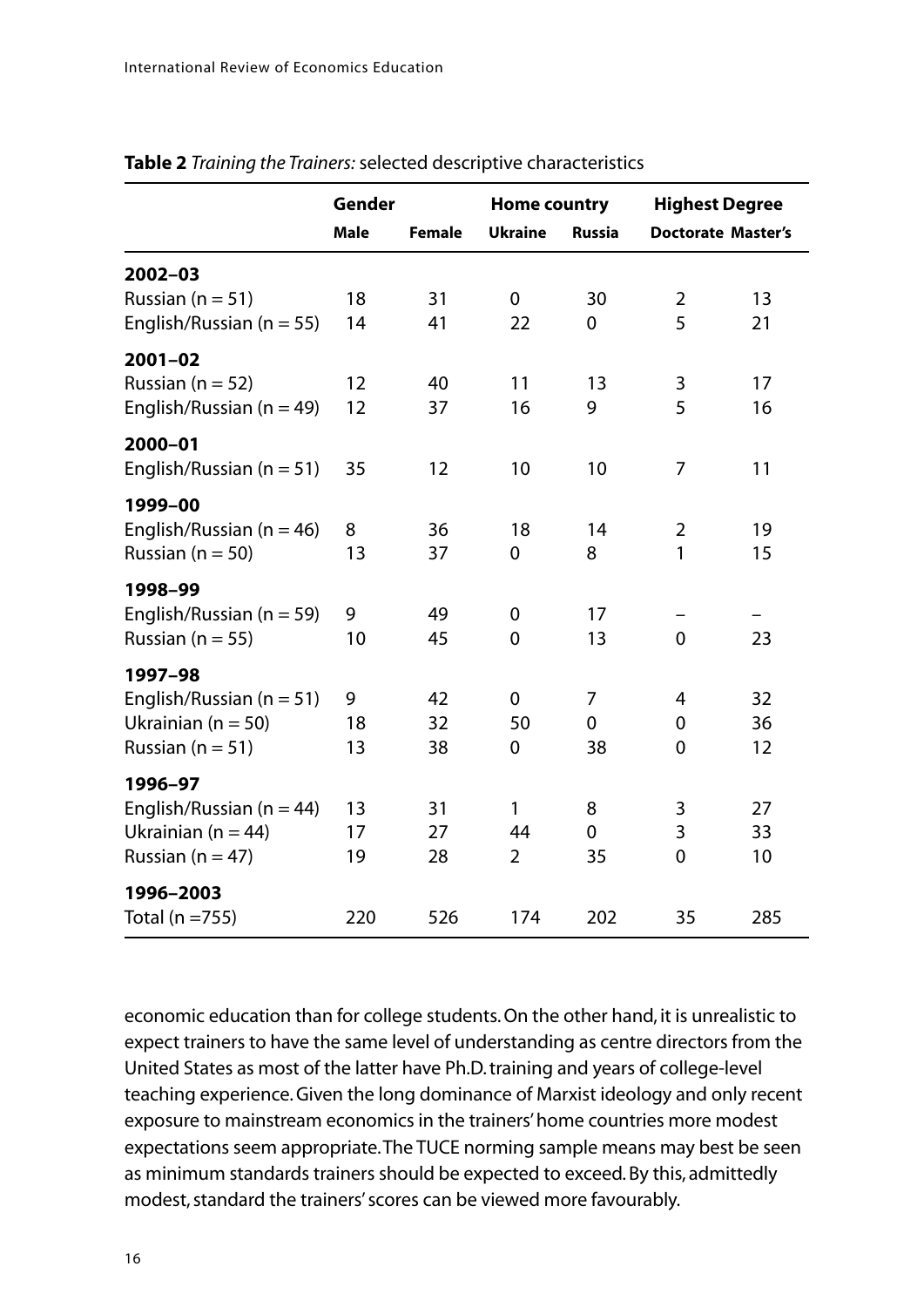|                              | Gender            |               | <b>Home country</b> |               | <b>Highest Degree</b> |                           |
|------------------------------|-------------------|---------------|---------------------|---------------|-----------------------|---------------------------|
|                              | Male              | <b>Female</b> | <b>Ukraine</b>      | <b>Russia</b> |                       | <b>Doctorate Master's</b> |
| $2002 - 03$                  |                   |               |                     |               |                       |                           |
| Russian ( $n = 51$ )         | 18                | 31            | $\Omega$            | 30            | 2                     | 13                        |
| English/Russian ( $n = 55$ ) | 14                | 41            | 22                  | $\Omega$      | 5                     | 21                        |
| $2001 - 02$                  |                   |               |                     |               |                       |                           |
| Russian ( $n = 52$ )         | $12 \overline{ }$ | 40            | 11                  | 13            | 3                     | 17                        |
| English/Russian ( $n = 49$ ) | 12                | 37            | 16                  | 9             | 5                     | 16                        |
| 2000-01                      |                   |               |                     |               |                       |                           |
| English/Russian ( $n = 51$ ) | 35                | 12            | 10                  | 10            | 7                     | 11                        |
| 1999-00                      |                   |               |                     |               |                       |                           |
| English/Russian ( $n = 46$ ) | 8                 | 36            | 18                  | 14            | $\overline{2}$        | 19                        |
| Russian ( $n = 50$ )         | 13                | 37            | 0                   | 8             | 1                     | 15                        |
| 1998-99                      |                   |               |                     |               |                       |                           |
| English/Russian ( $n = 59$ ) | 9                 | 49            | 0                   | 17            |                       |                           |
| Russian ( $n = 55$ )         | 10                | 45            | 0                   | 13            | $\Omega$              | 23                        |
| 1997-98                      |                   |               |                     |               |                       |                           |
| English/Russian ( $n = 51$ ) | 9                 | 42            | 0                   | 7             | 4                     | 32                        |
| Ukrainian ( $n = 50$ )       | 18                | 32            | 50                  | $\Omega$      | 0                     | 36                        |
| Russian ( $n = 51$ )         | 13                | 38            | 0                   | 38            | 0                     | 12                        |
| 1996-97                      |                   |               |                     |               |                       |                           |
| English/Russian ( $n = 44$ ) | 13                | 31            | $\mathbf{1}$        | 8             | 3                     | 27                        |
| Ukrainian ( $n = 44$ )       | 17                | 27            | 44                  | 0             | 3                     | 33                        |
| Russian ( $n = 47$ )         | 19                | 28            | $\overline{2}$      | 35            | 0                     | 10                        |
| 1996-2003                    |                   |               |                     |               |                       |                           |
| Total ( $n = 755$ )          | 220               | 526           | 174                 | 202           | 35                    | 285                       |

**Table 2** *Training the Trainers:* selected descriptive characteristics

economic education than for college students. On the other hand, it is unrealistic to expect trainers to have the same level of understanding as centre directors from the United States as most of the latter have Ph.D. training and years of college-level teaching experience. Given the long dominance of Marxist ideology and only recent exposure to mainstream economics in the trainers' home countries more modest expectations seem appropriate.The TUCE norming sample means may best be seen as minimum standards trainers should be expected to exceed. By this, admittedly modest, standard the trainers' scores can be viewed more favourably.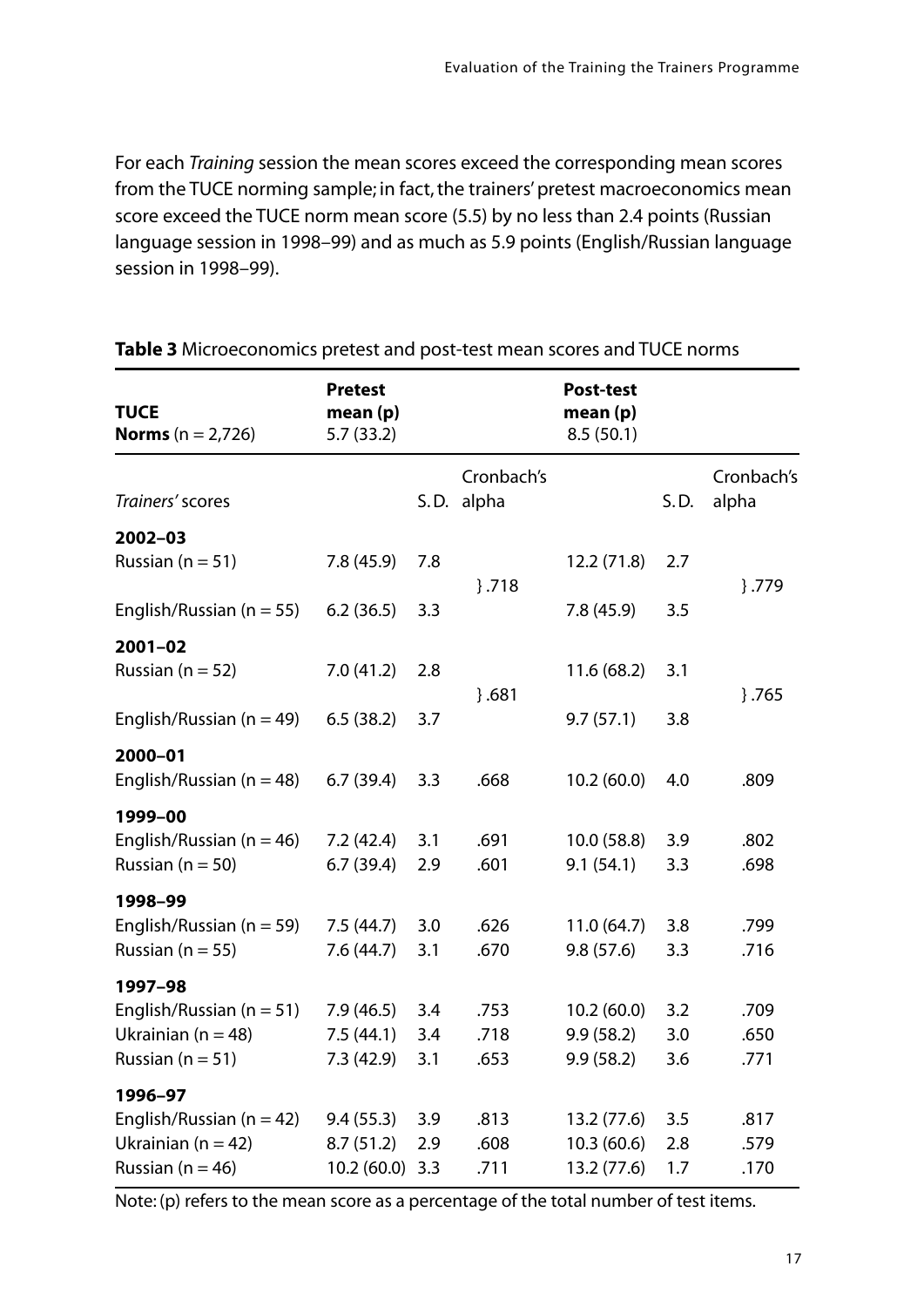For each *Training* session the mean scores exceed the corresponding mean scores from the TUCE norming sample; in fact, the trainers' pretest macroeconomics mean score exceed the TUCE norm mean score (5.5) by no less than 2.4 points (Russian language session in 1998–99) and as much as 5.9 points (English/Russian language session in 1998–99).

| <b>TUCE</b><br><b>Norms</b> ( $n = 2,726$ )                                               | <b>Pretest</b><br>mean (p)<br>5.7(33.2)    |                   |                          | <b>Post-test</b><br>mean (p)<br>8.5(50.1) |                   |                      |
|-------------------------------------------------------------------------------------------|--------------------------------------------|-------------------|--------------------------|-------------------------------------------|-------------------|----------------------|
| Trainers' scores                                                                          |                                            |                   | Cronbach's<br>S.D. alpha |                                           | S.D.              | Cronbach's<br>alpha  |
| 2002-03<br>Russian ( $n = 51$ )                                                           | 7.8(45.9)                                  | 7.8               | $}.718$                  | 12.2 (71.8)                               | 2.7               | $}.779$              |
| English/Russian ( $n = 55$ )                                                              | 6.2(36.5)                                  | 3.3               |                          | 7.8(45.9)                                 | 3.5               |                      |
| $2001 - 02$<br>Russian ( $n = 52$ )                                                       | 7.0(41.2)                                  | 2.8               | $}.681$                  | 11.6 (68.2)                               | 3.1               | $}.765$              |
| English/Russian ( $n = 49$ )                                                              | 6.5(38.2)                                  | 3.7               |                          | 9.7(57.1)                                 | 3.8               |                      |
| 2000-01<br>English/Russian ( $n = 48$ )                                                   | 6.7(39.4)                                  | 3.3               | .668                     | 10.2(60.0)                                | 4.0               | .809                 |
| 1999-00<br>English/Russian ( $n = 46$ )<br>Russian ( $n = 50$ )                           | 7.2(42.4)<br>6.7(39.4)                     | 3.1<br>2.9        | .691<br>.601             | 10.0(58.8)<br>9.1(54.1)                   | 3.9<br>3.3        | .802<br>.698         |
| 1998-99<br>English/Russian ( $n = 59$ )<br>Russian ( $n = 55$ )                           | 7.5(44.7)<br>7.6 (44.7)                    | 3.0<br>3.1        | .626<br>.670             | 11.0(64.7)<br>9.8(57.6)                   | 3.8<br>3.3        | .799<br>.716         |
| 1997-98<br>English/Russian ( $n = 51$ )<br>Ukrainian ( $n = 48$ )<br>Russian ( $n = 51$ ) | 7.9(46.5)<br>7.5(44.1)<br>7.3 (42.9)       | 3.4<br>3.4<br>3.1 | .753<br>.718<br>.653     | 10.2(60.0)<br>9.9(58.2)<br>9.9(58.2)      | 3.2<br>3.0<br>3.6 | .709<br>.650<br>.771 |
| 1996-97<br>English/Russian ( $n = 42$ )<br>Ukrainian ( $n = 42$ )<br>Russian ( $n = 46$ ) | 9.4(55.3)<br>8.7(51.2)<br>$10.2(60.0)$ 3.3 | 3.9<br>2.9        | .813<br>.608<br>.711     | 13.2 (77.6)<br>10.3(60.6)<br>13.2 (77.6)  | 3.5<br>2.8<br>1.7 | .817<br>.579<br>.170 |

**Table 3** Microeconomics pretest and post-test mean scores and TUCE norms

Note: (p) refers to the mean score as a percentage of the total number of test items.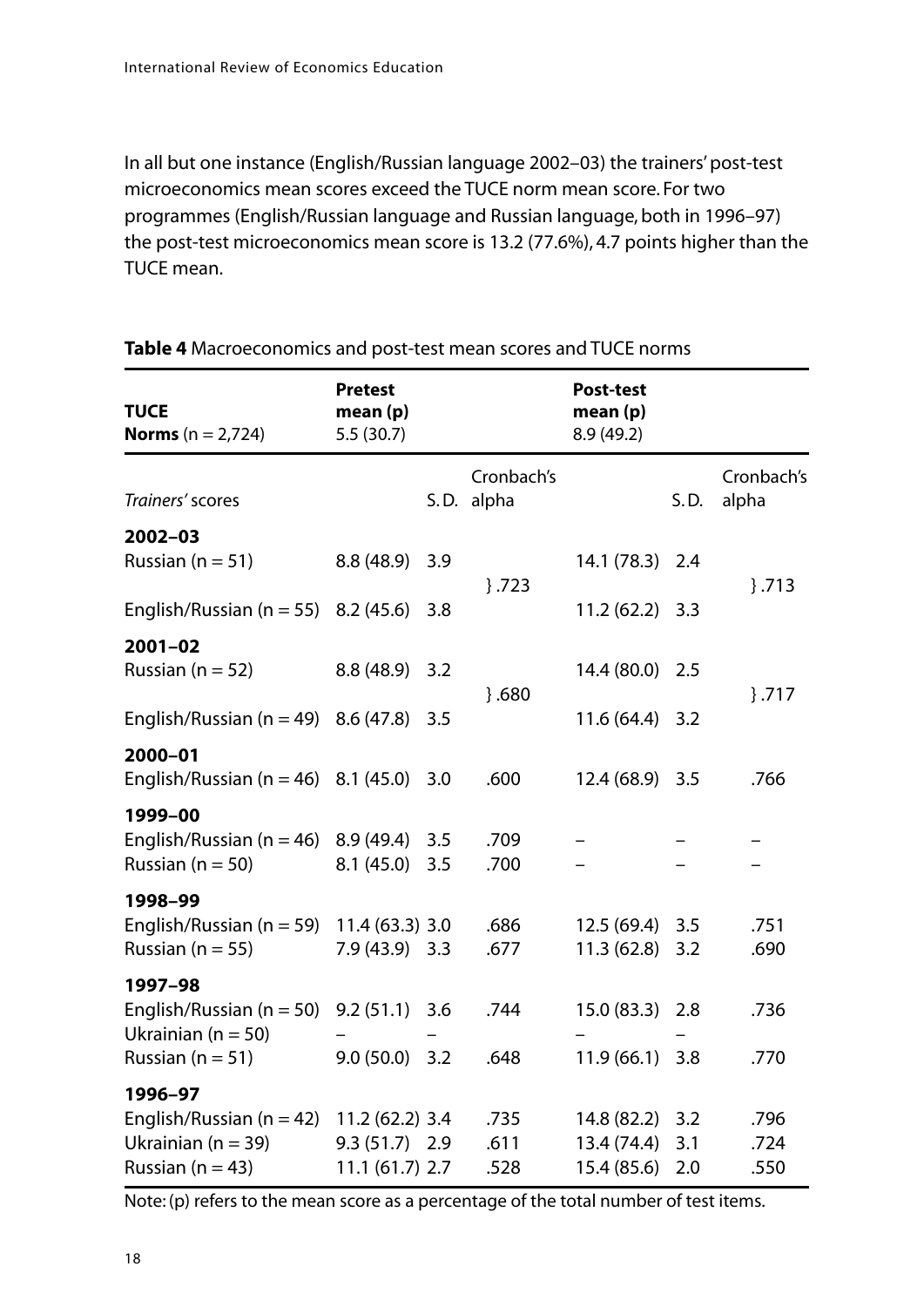In all but one instance (English/Russian language 2002–03) the trainers' post-test microeconomics mean scores exceed the TUCE norm mean score. For two programmes (English/Russian language and Russian language, both in 1996–97) the post-test microeconomics mean score is 13.2 (77.6%), 4.7 points higher than the TUCE mean.

| <b>TUCE</b><br><b>Norms</b> $(n = 2,724)$                                                 | <b>Pretest</b><br>mean $(p)$<br>5.5 (30.7)             |            |                          | <b>Post-test</b><br>mean $(p)$<br>8.9(49.2) |                   |                      |
|-------------------------------------------------------------------------------------------|--------------------------------------------------------|------------|--------------------------|---------------------------------------------|-------------------|----------------------|
| Trainers' scores                                                                          |                                                        |            | Cronbach's<br>S.D. alpha |                                             | S.D.              | Cronbach's<br>alpha  |
| 2002-03<br>Russian ( $n = 51$ )                                                           | 8.8(48.9)                                              | 3.9        | $}.723$                  | 14.1 (78.3)                                 | 2.4               | $}.713$              |
| English/Russian ( $n = 55$ ) 8.2 (45.6)                                                   |                                                        | 3.8        |                          | 11.2 (62.2)                                 | 3.3               |                      |
| $2001 - 02$<br>Russian ( $n = 52$ )                                                       | 8.8(48.9)                                              | 3.2        | $}.680$                  | 14.4 (80.0)                                 | 2.5               | $}.717$              |
| English/Russian (n = 49) 8.6 (47.8)                                                       |                                                        | 3.5        |                          | 11.6 (64.4)                                 | 3.2               |                      |
| 2000-01<br>English/Russian ( $n = 46$ ) 8.1 (45.0)                                        |                                                        | 3.0        | .600                     | 12.4 (68.9) 3.5                             |                   | .766                 |
| 1999-00<br>English/Russian ( $n = 46$ )<br>Russian ( $n = 50$ )                           | 8.9 (49.4)<br>8.1(45.0)                                | 3.5<br>3.5 | .709<br>.700             |                                             |                   |                      |
| 1998-99<br>English/Russian ( $n = 59$ )<br>Russian ( $n = 55$ )                           | 11.4(63.3)3.0<br>$7.9(43.9)$ 3.3                       |            | .686<br>.677             | 12.5 (69.4)<br>11.3 (62.8)                  | 3.5<br>3.2        | .751<br>.690         |
| 1997-98<br>English/Russian ( $n = 50$ )<br>Ukrainian ( $n = 50$ )<br>Russian ( $n = 51$ ) | 9.2(51.1)<br>9.0(50.0)                                 | 3.6<br>3.2 | .744<br>.648             | 15.0(83.3)<br>11.9(66.1)                    | 2.8<br>3.8        | .736<br>.770         |
| 1996-97<br>English/Russian ( $n = 42$ )<br>Ukrainian ( $n = 39$ )<br>Russian ( $n = 43$ ) | 11.2 (62.2) 3.4<br>$9.3(51.7)$ 2.9<br>$11.1(61.7)$ 2.7 |            | .735<br>.611<br>.528     | 14.8 (82.2)<br>13.4 (74.4)<br>15.4 (85.6)   | 3.2<br>3.1<br>2.0 | .796<br>.724<br>.550 |

**Table 4** Macroeconomics and post-test mean scores and TUCE norms

Note: (p) refers to the mean score as a percentage of the total number of test items.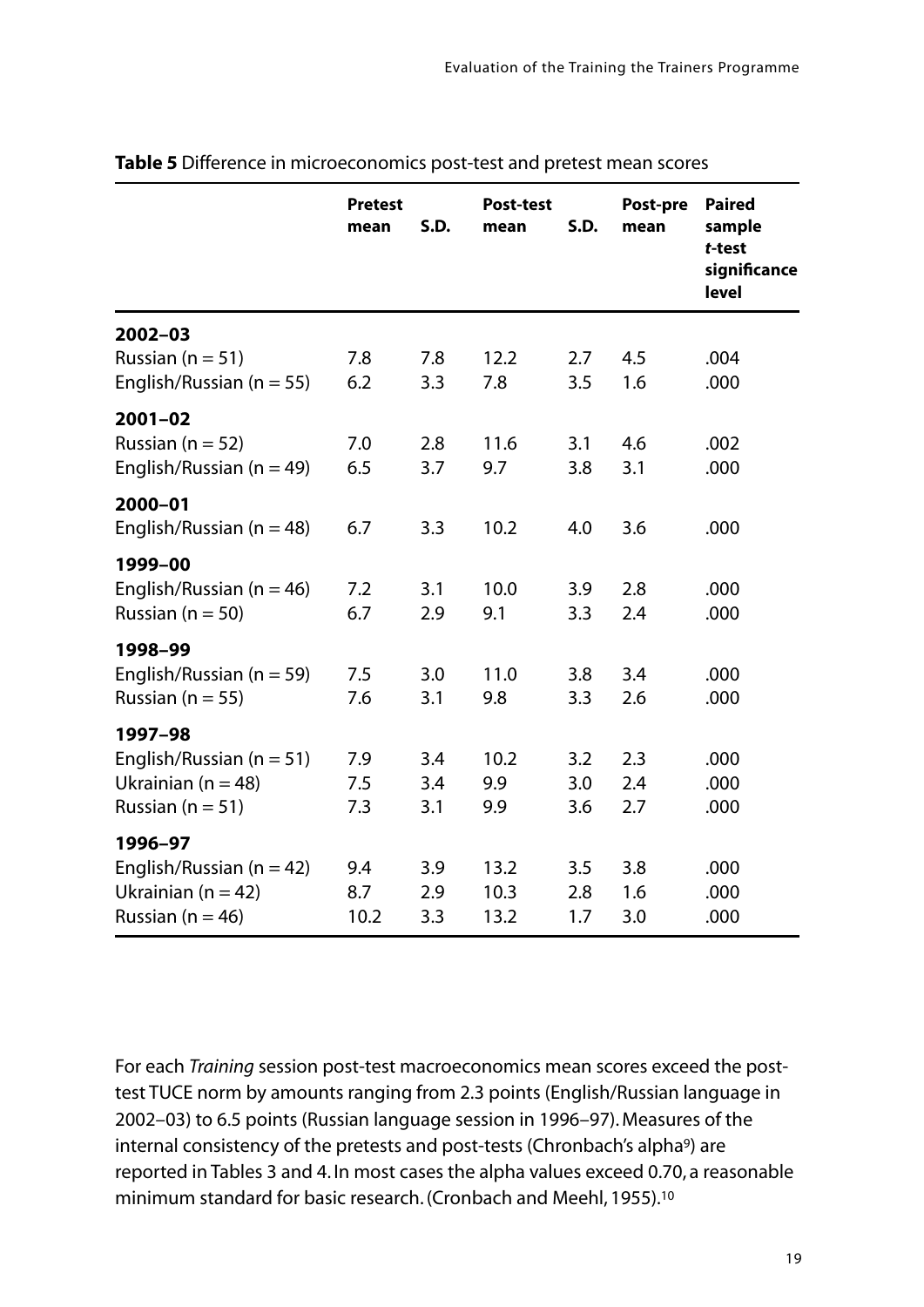|                              | <b>Pretest</b><br>mean | S.D. | Post-test<br>mean | S.D. | Post-pre<br>mean | Paired<br>sample<br>t-test<br>significance<br>level |
|------------------------------|------------------------|------|-------------------|------|------------------|-----------------------------------------------------|
| $2002 - 03$                  |                        |      |                   |      |                  |                                                     |
| Russian ( $n = 51$ )         | 7.8                    | 7.8  | 12.2              | 2.7  | 4.5              | .004                                                |
| English/Russian ( $n = 55$ ) | 6.2                    | 3.3  | 7.8               | 3.5  | 1.6              | .000                                                |
| $2001 - 02$                  |                        |      |                   |      |                  |                                                     |
| Russian ( $n = 52$ )         | 7.0                    | 2.8  | 11.6              | 3.1  | 4.6              | .002                                                |
| English/Russian ( $n = 49$ ) | 6.5                    | 3.7  | 9.7               | 3.8  | 3.1              | .000                                                |
| 2000-01                      |                        |      |                   |      |                  |                                                     |
| English/Russian ( $n = 48$ ) | 6.7                    | 3.3  | 10.2              | 4.0  | 3.6              | .000                                                |
| 1999-00                      |                        |      |                   |      |                  |                                                     |
| English/Russian ( $n = 46$ ) | 7.2                    | 3.1  | 10.0              | 3.9  | 2.8              | .000                                                |
| Russian ( $n = 50$ )         | 6.7                    | 2.9  | 9.1               | 3.3  | 2.4              | .000                                                |
| 1998-99                      |                        |      |                   |      |                  |                                                     |
| English/Russian ( $n = 59$ ) | 7.5                    | 3.0  | 11.0              | 3.8  | 3.4              | .000                                                |
| Russian ( $n = 55$ )         | 7.6                    | 3.1  | 9.8               | 3.3  | 2.6              | .000                                                |
| 1997-98                      |                        |      |                   |      |                  |                                                     |
| English/Russian ( $n = 51$ ) | 7.9                    | 3.4  | 10.2              | 3.2  | 2.3              | .000                                                |
| Ukrainian ( $n = 48$ )       | 7.5                    | 3.4  | 9.9               | 3.0  | 2.4              | .000                                                |
| Russian ( $n = 51$ )         | 7.3                    | 3.1  | 9.9               | 3.6  | 2.7              | .000                                                |
| 1996-97                      |                        |      |                   |      |                  |                                                     |
| English/Russian ( $n = 42$ ) | 9.4                    | 3.9  | 13.2              | 3.5  | 3.8              | .000                                                |
| Ukrainian ( $n = 42$ )       | 8.7                    | 2.9  | 10.3              | 2.8  | 1.6              | .000                                                |
| Russian ( $n = 46$ )         | 10.2                   | 3.3  | 13.2              | 1.7  | 3.0              | .000                                                |

**Table 5** Difference in microeconomics post-test and pretest mean scores

For each *Training* session post-test macroeconomics mean scores exceed the posttest TUCE norm by amounts ranging from 2.3 points (English/Russian language in 2002–03) to 6.5 points (Russian language session in 1996–97). Measures of the internal consistency of the pretests and post-tests (Chronbach's alpha<sup>9</sup>) are reported in Tables 3 and 4. In most cases the alpha values exceed 0.70, a reasonable minimum standard for basic research. (Cronbach and Meehl, 1955).10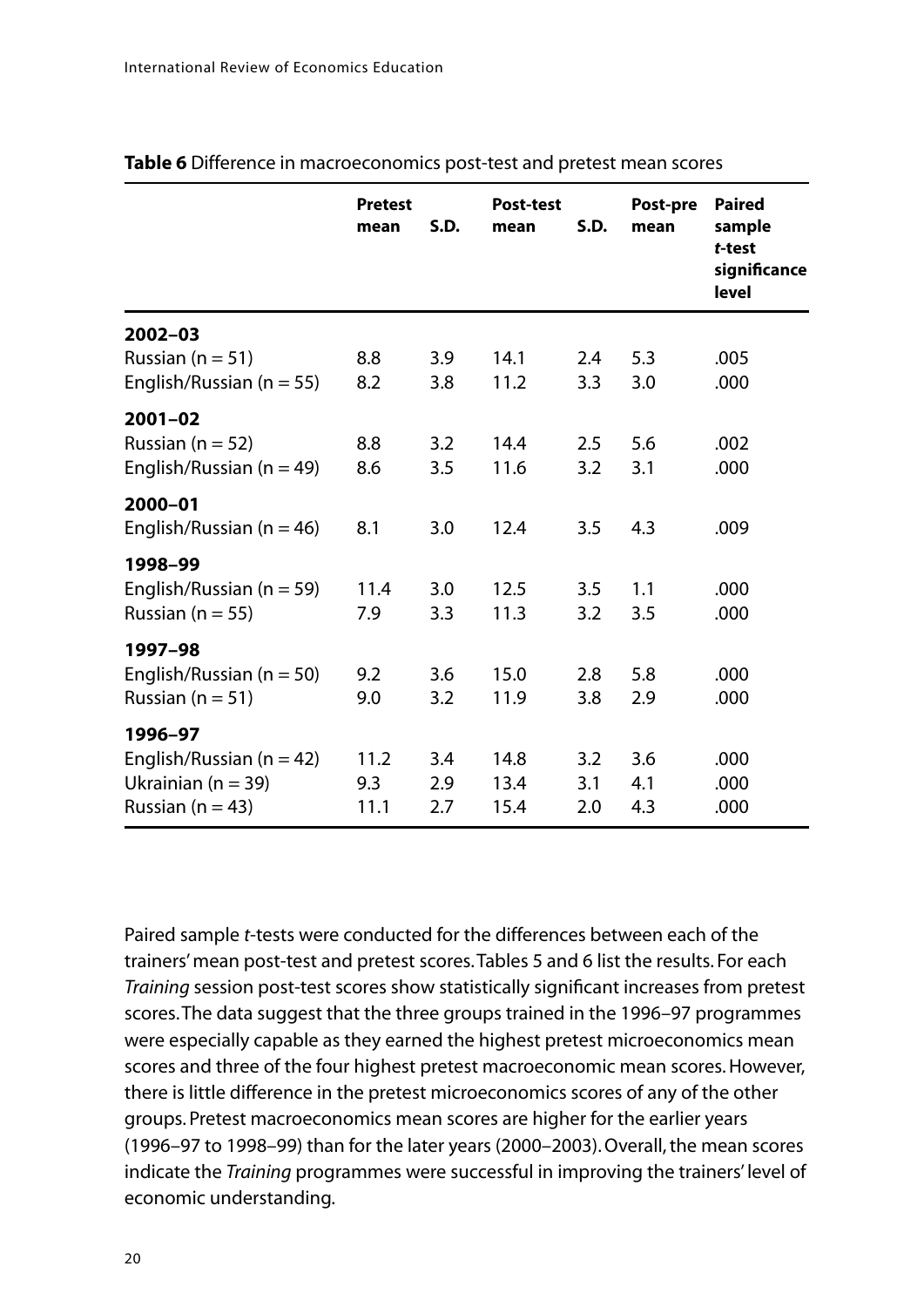|                              | <b>Pretest</b><br>mean | S.D. | <b>Post-test</b><br>mean | S.D.          | Post-pre<br>mean | <b>Paired</b><br>sample<br>t-test<br>significance<br>level |
|------------------------------|------------------------|------|--------------------------|---------------|------------------|------------------------------------------------------------|
| 2002-03                      |                        |      |                          |               |                  |                                                            |
| Russian ( $n = 51$ )         | 8.8                    | 3.9  | 14.1                     | 2.4           | 5.3              | .005                                                       |
| English/Russian ( $n = 55$ ) | 8.2                    | 3.8  | 11.2                     | 3.3           | 3.0              | .000                                                       |
| $2001 - 02$                  |                        |      |                          |               |                  |                                                            |
| Russian ( $n = 52$ )         | 8.8                    | 3.2  | 14.4                     | 2.5           | 5.6              | .002                                                       |
| English/Russian ( $n = 49$ ) | 8.6                    | 3.5  | 11.6                     | 3.2           | 3.1              | .000                                                       |
| 2000-01                      |                        |      |                          |               |                  |                                                            |
| English/Russian ( $n = 46$ ) | 8.1                    | 3.0  | 12.4                     | 3.5           | 4.3              | .009                                                       |
| 1998-99                      |                        |      |                          |               |                  |                                                            |
| English/Russian ( $n = 59$ ) | 11.4                   | 3.0  | 12.5                     | $3.5^{\circ}$ | 1.1              | .000                                                       |
| Russian ( $n = 55$ )         | 7.9                    | 3.3  | 11.3                     | 3.2           | 3.5              | .000                                                       |
| 1997-98                      |                        |      |                          |               |                  |                                                            |
| English/Russian ( $n = 50$ ) | 9.2                    | 3.6  | 15.0                     | 2.8           | 5.8              | .000                                                       |
| Russian ( $n = 51$ )         | 9.0                    | 3.2  | 11.9                     | 3.8           | 2.9              | .000                                                       |
| 1996-97                      |                        |      |                          |               |                  |                                                            |
| English/Russian ( $n = 42$ ) | 11.2                   | 3.4  | 14.8                     | 3.2           | 3.6              | .000                                                       |
| Ukrainian ( $n = 39$ )       | 9.3                    | 2.9  | 13.4                     | 3.1           | 4.1              | .000                                                       |
| Russian ( $n = 43$ )         | 11.1                   | 2.7  | 15.4                     | 2.0           | 4.3              | .000                                                       |

#### **Table 6** Difference in macroeconomics post-test and pretest mean scores

Paired sample *t*-tests were conducted for the differences between each of the trainers' mean post-test and pretest scores.Tables 5 and 6 list the results. For each *Training* session post-test scores show statistically significant increases from pretest scores.The data suggest that the three groups trained in the 1996–97 programmes were especially capable as they earned the highest pretest microeconomics mean scores and three of the four highest pretest macroeconomic mean scores. However, there is little difference in the pretest microeconomics scores of any of the other groups. Pretest macroeconomics mean scores are higher for the earlier years (1996–97 to 1998–99) than for the later years (2000–2003). Overall, the mean scores indicate the *Training* programmes were successful in improving the trainers' level of economic understanding.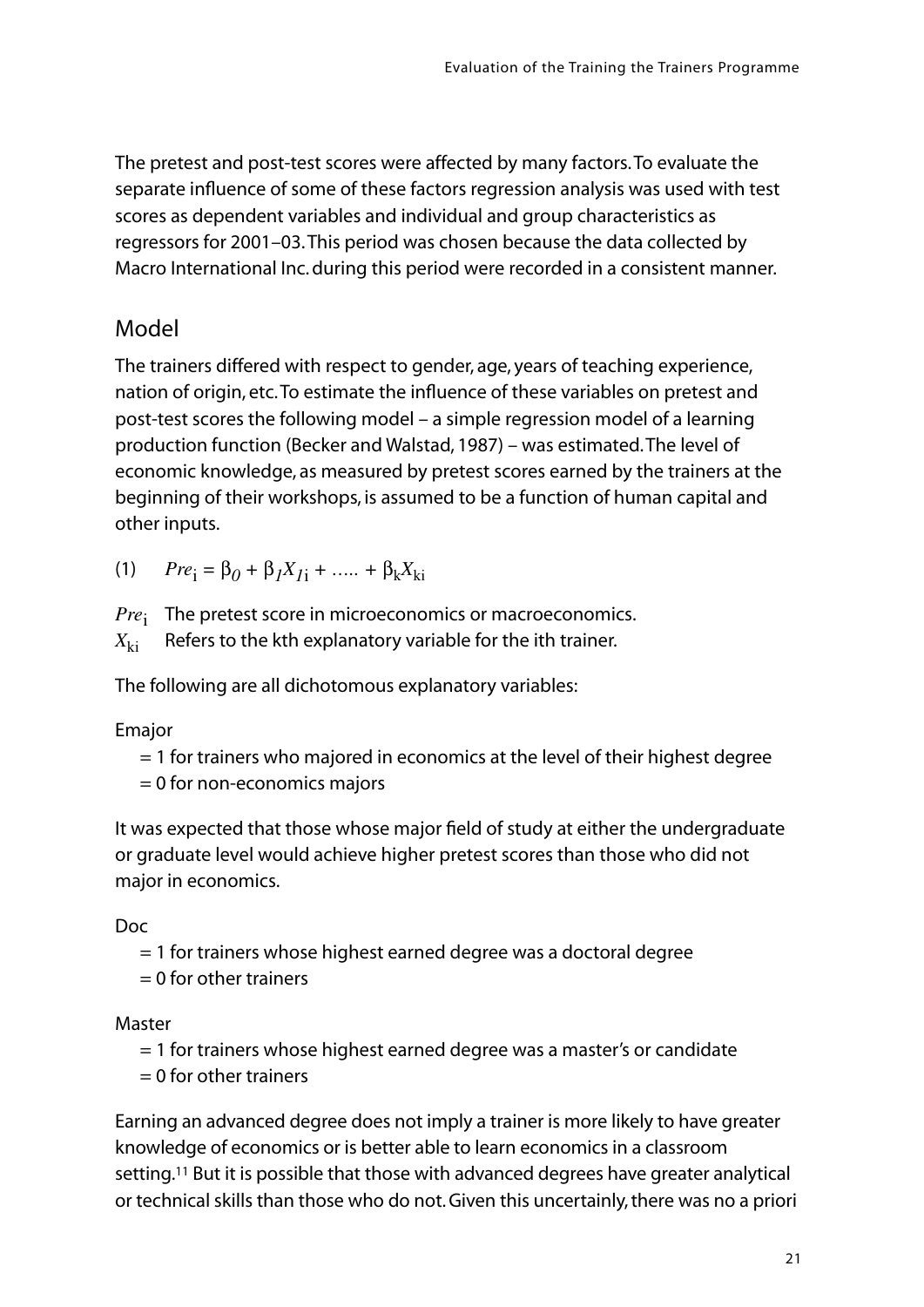The pretest and post-test scores were affected by many factors.To evaluate the separate influence of some of these factors regression analysis was used with test scores as dependent variables and individual and group characteristics as regressors for 2001–03.This period was chosen because the data collected by Macro International Inc. during this period were recorded in a consistent manner.

# Model

The trainers differed with respect to gender, age, years of teaching experience, nation of origin, etc.To estimate the influence of these variables on pretest and post-test scores the following model – a simple regression model of a learning production function (Becker and Walstad, 1987) – was estimated.The level of economic knowledge, as measured by pretest scores earned by the trainers at the beginning of their workshops, is assumed to be a function of human capital and other inputs.

(1)  $Pre_i = \beta_0 + \beta_1 X_{1i} + ... + \beta_k X_{ki}$ 

*Pre*i The pretest score in microeconomics or macroeconomics.

 $X_{ki}$  Refers to the kth explanatory variable for the ith trainer.

The following are all dichotomous explanatory variables:

Emajor

 $=$  1 for trainers who majored in economics at the level of their highest degree

= 0 for non-economics majors

It was expected that those whose major field of study at either the undergraduate or graduate level would achieve higher pretest scores than those who did not major in economics.

Doc

 $=$  1 for trainers whose highest earned degree was a doctoral degree

 $= 0$  for other trainers

Master

 $=$  1 for trainers whose highest earned degree was a master's or candidate

 $= 0$  for other trainers

Earning an advanced degree does not imply a trainer is more likely to have greater knowledge of economics or is better able to learn economics in a classroom setting.11 But it is possible that those with advanced degrees have greater analytical or technical skills than those who do not. Given this uncertainly, there was no a priori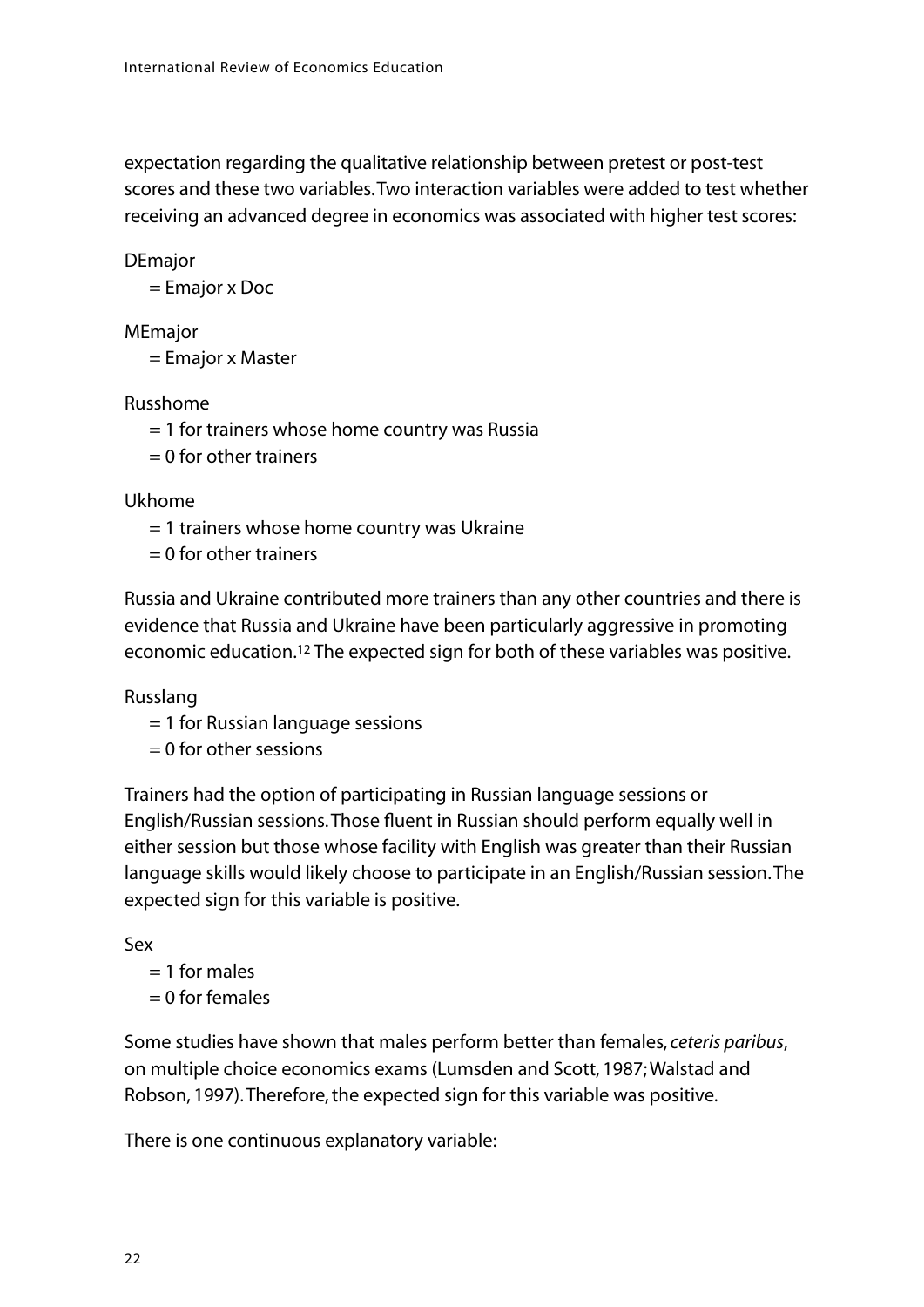expectation regarding the qualitative relationship between pretest or post-test scores and these two variables.Two interaction variables were added to test whether receiving an advanced degree in economics was associated with higher test scores:

#### DEmajor

 $=$  Emajor x Doc

#### MEmajor

```
= Emajor x Master
```
#### Russhome

- $=$  1 for trainers whose home country was Russia
- $= 0$  for other trainers

#### Ukhome

- = 1 trainers whose home country was Ukraine
- $= 0$  for other trainers

Russia and Ukraine contributed more trainers than any other countries and there is evidence that Russia and Ukraine have been particularly aggressive in promoting economic education.12 The expected sign for both of these variables was positive.

Russlang

```
= 1 for Russian language sessions
```

```
= 0 for other sessions
```
Trainers had the option of participating in Russian language sessions or English/Russian sessions.Those fluent in Russian should perform equally well in either session but those whose facility with English was greater than their Russian language skills would likely choose to participate in an English/Russian session.The expected sign for this variable is positive.

Sex

```
= 1 for males
= 0 for females
```
Some studies have shown that males perform better than females, *ceteris paribus*, on multiple choice economics exams (Lumsden and Scott, 1987; Walstad and Robson, 1997).Therefore, the expected sign for this variable was positive.

There is one continuous explanatory variable: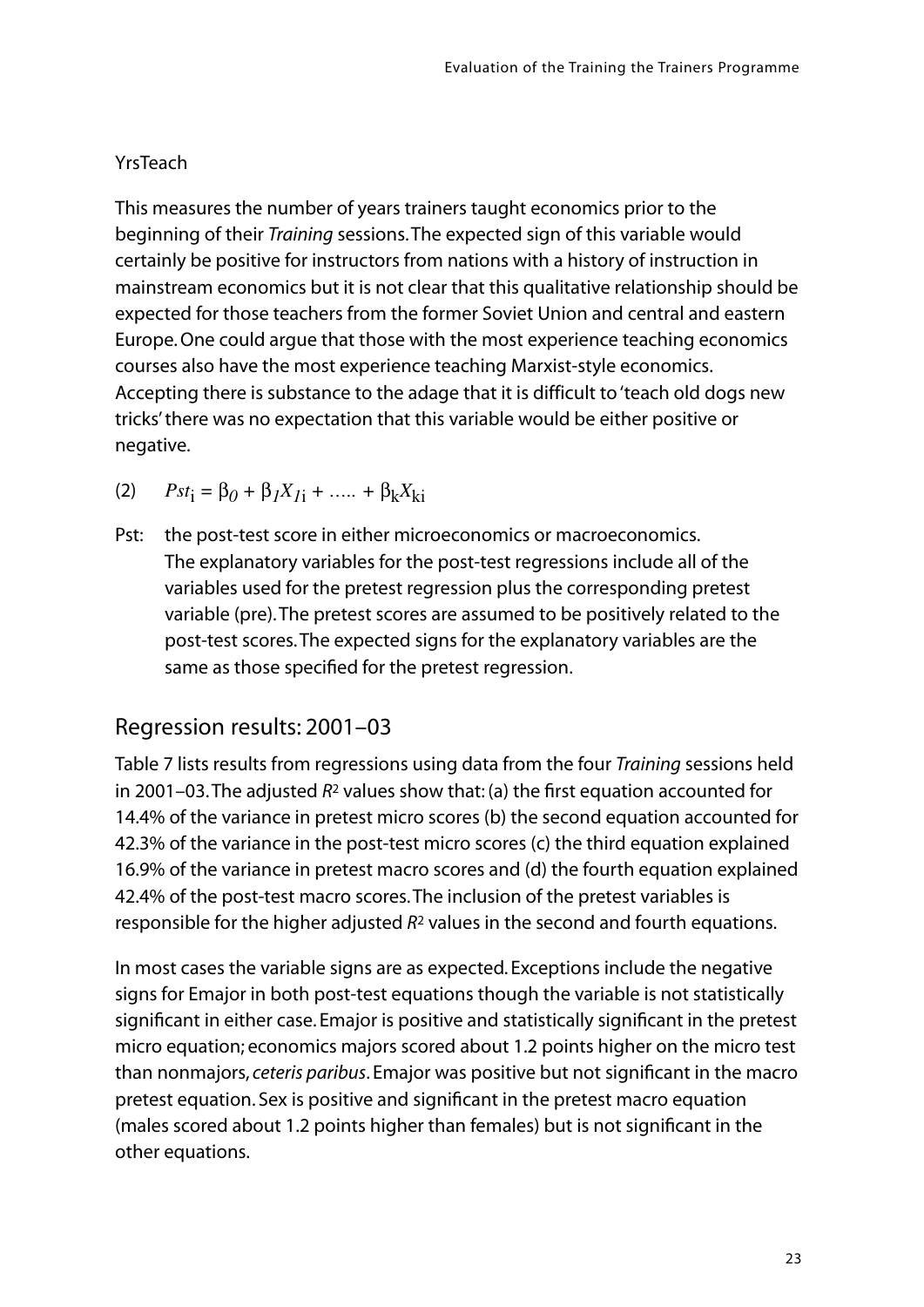## YrsTeach

This measures the number of years trainers taught economics prior to the beginning of their *Training* sessions.The expected sign of this variable would certainly be positive for instructors from nations with a history of instruction in mainstream economics but it is not clear that this qualitative relationship should be expected for those teachers from the former Soviet Union and central and eastern Europe. One could argue that those with the most experience teaching economics courses also have the most experience teaching Marxist-style economics. Accepting there is substance to the adage that it is difficult to 'teach old dogs new tricks' there was no expectation that this variable would be either positive or negative.

(2) *Pst*<sup>i</sup> *=* β*<sup>0</sup> +* β*1X1*<sup>i</sup> *+ ….. +* βk*X*ki

Pst: the post-test score in either microeconomics or macroeconomics. The explanatory variables for the post-test regressions include all of the variables used for the pretest regression plus the corresponding pretest variable (pre).The pretest scores are assumed to be positively related to the post-test scores.The expected signs for the explanatory variables are the same as those specified for the pretest regression.

# Regression results: 2001–03

Table 7 lists results from regressions using data from the four *Training* sessions held in 2001–03.The adjusted *R*<sup>2</sup> values show that: (a) the first equation accounted for 14.4% of the variance in pretest micro scores (b) the second equation accounted for 42.3% of the variance in the post-test micro scores (c) the third equation explained 16.9% of the variance in pretest macro scores and (d) the fourth equation explained 42.4% of the post-test macro scores.The inclusion of the pretest variables is responsible for the higher adjusted *R*<sup>2</sup> values in the second and fourth equations.

In most cases the variable signs are as expected. Exceptions include the negative signs for Emajor in both post-test equations though the variable is not statistically significant in either case. Emajor is positive and statistically significant in the pretest micro equation; economics majors scored about 1.2 points higher on the micro test than nonmajors, *ceteris paribus*. Emajor was positive but not significant in the macro pretest equation. Sex is positive and significant in the pretest macro equation (males scored about 1.2 points higher than females) but is not significant in the other equations.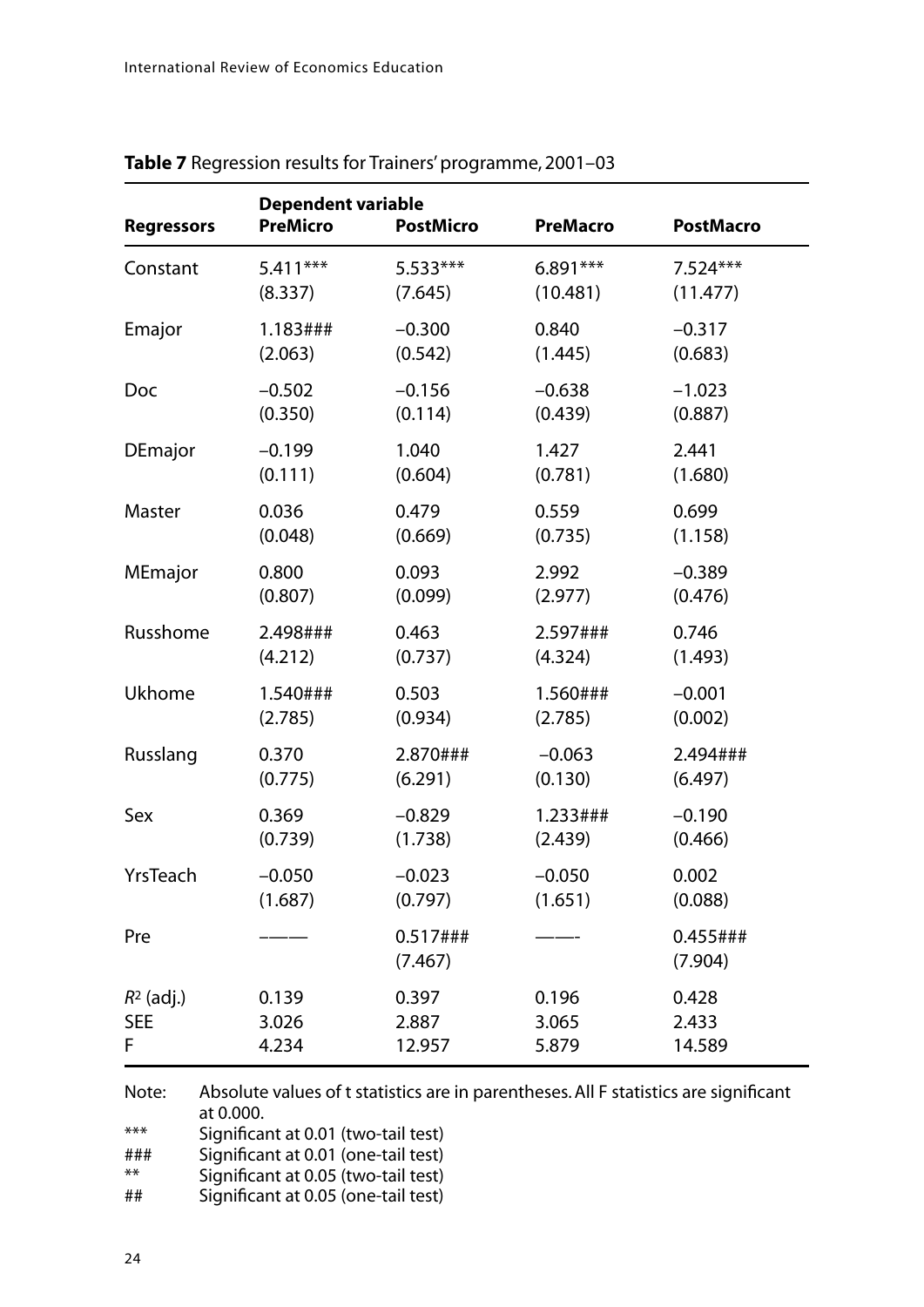| <b>Regressors</b> | <b>Dependent variable</b><br><b>PreMicro</b> | <b>PostMicro</b>       | <b>PreMacro</b> | <b>PostMacro</b>       |
|-------------------|----------------------------------------------|------------------------|-----------------|------------------------|
| Constant          | 5.411***                                     | $5.533***$             | $6.891***$      | $7.524***$             |
|                   | (8.337)                                      | (7.645)                | (10.481)        | (11.477)               |
| Emajor            | 1.183###                                     | $-0.300$               | 0.840           | $-0.317$               |
|                   | (2.063)                                      | (0.542)                | (1.445)         | (0.683)                |
| Doc               | $-0.502$                                     | $-0.156$               | $-0.638$        | $-1.023$               |
|                   | (0.350)                                      | (0.114)                | (0.439)         | (0.887)                |
| DEmajor           | $-0.199$                                     | 1.040                  | 1.427           | 2.441                  |
|                   | (0.111)                                      | (0.604)                | (0.781)         | (1.680)                |
| Master            | 0.036                                        | 0.479                  | 0.559           | 0.699                  |
|                   | (0.048)                                      | (0.669)                | (0.735)         | (1.158)                |
| MEmajor           | 0.800                                        | 0.093                  | 2.992           | $-0.389$               |
|                   | (0.807)                                      | (0.099)                | (2.977)         | (0.476)                |
| Russhome          | 2.498###                                     | 0.463                  | 2.597###        | 0.746                  |
|                   | (4.212)                                      | (0.737)                | (4.324)         | (1.493)                |
| Ukhome            | 1.540###                                     | 0.503                  | 1.560###        | $-0.001$               |
|                   | (2.785)                                      | (0.934)                | (2.785)         | (0.002)                |
| Russlang          | 0.370                                        | 2.870###               | $-0.063$        | 2.494###               |
|                   | (0.775)                                      | (6.291)                | (0.130)         | (6.497)                |
| Sex               | 0.369                                        | $-0.829$               | $1.233$ ###     | $-0.190$               |
|                   | (0.739)                                      | (1.738)                | (2.439)         | (0.466)                |
| YrsTeach          | $-0.050$                                     | $-0.023$               | $-0.050$        | 0.002                  |
|                   | (1.687)                                      | (0.797)                | (1.651)         | (0.088)                |
| Pre               |                                              | $0.517$ ###<br>(7.467) |                 | $0.455$ ###<br>(7.904) |
| $R2$ (adj.)       | 0.139                                        | 0.397                  | 0.196           | 0.428                  |
| <b>SEE</b>        | 3.026                                        | 2.887                  | 3.065           | 2.433                  |
| F                 | 4.234                                        | 12.957                 | 5.879           | 14.589                 |

**Table 7** Regression results for Trainers' programme, 2001–03

Note: Absolute values of t statistics are in parentheses. All F statistics are significant at 0.000.

\*\*\* Significant at 0.01 (two-tail test)<br>
### Significant at 0.01 (one-tail test)

### Significant at 0.01 (one-tail test)

\*\* Significant at 0.05 (two-tail test)

Eignificant at 0.05 (one-tail test)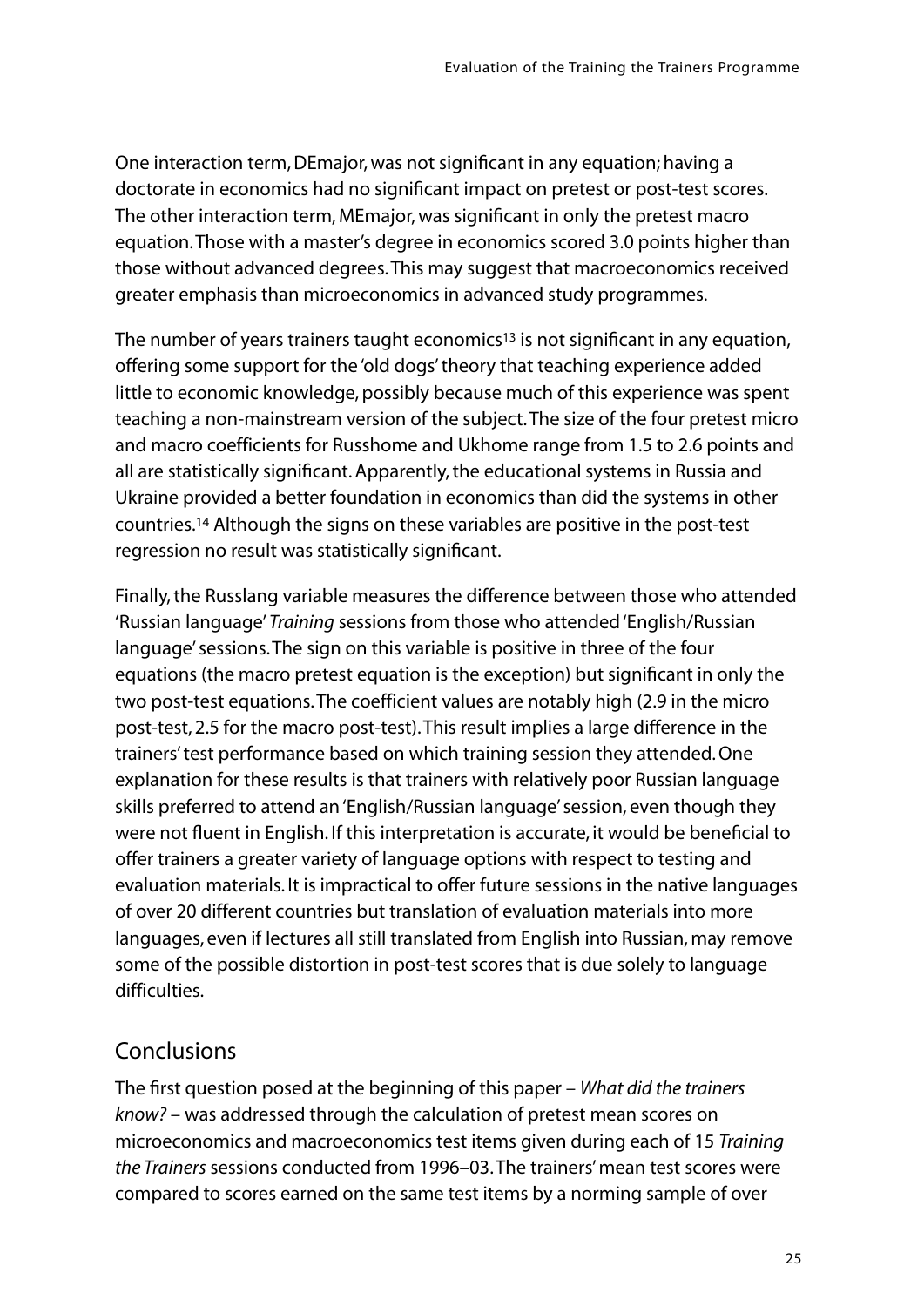One interaction term, DEmajor, was not significant in any equation; having a doctorate in economics had no significant impact on pretest or post-test scores. The other interaction term, MEmajor, was significant in only the pretest macro equation.Those with a master's degree in economics scored 3.0 points higher than those without advanced degrees.This may suggest that macroeconomics received greater emphasis than microeconomics in advanced study programmes.

The number of years trainers taught economics<sup>13</sup> is not significant in any equation, offering some support for the 'old dogs' theory that teaching experience added little to economic knowledge, possibly because much of this experience was spent teaching a non-mainstream version of the subject.The size of the four pretest micro and macro coefficients for Russhome and Ukhome range from 1.5 to 2.6 points and all are statistically significant. Apparently, the educational systems in Russia and Ukraine provided a better foundation in economics than did the systems in other countries.14 Although the signs on these variables are positive in the post-test regression no result was statistically significant.

Finally, the Russlang variable measures the difference between those who attended 'Russian language' *Training* sessions from those who attended 'English/Russian language' sessions.The sign on this variable is positive in three of the four equations (the macro pretest equation is the exception) but significant in only the two post-test equations.The coefficient values are notably high (2.9 in the micro post-test, 2.5 for the macro post-test).This result implies a large difference in the trainers'test performance based on which training session they attended. One explanation for these results is that trainers with relatively poor Russian language skills preferred to attend an 'English/Russian language' session, even though they were not fluent in English. If this interpretation is accurate, it would be beneficial to offer trainers a greater variety of language options with respect to testing and evaluation materials. It is impractical to offer future sessions in the native languages of over 20 different countries but translation of evaluation materials into more languages, even if lectures all still translated from English into Russian, may remove some of the possible distortion in post-test scores that is due solely to language difficulties.

# Conclusions

The first question posed at the beginning of this paper – *What did the trainers know?* – was addressed through the calculation of pretest mean scores on microeconomics and macroeconomics test items given during each of 15 *Training the Trainers* sessions conducted from 1996–03.The trainers' mean test scores were compared to scores earned on the same test items by a norming sample of over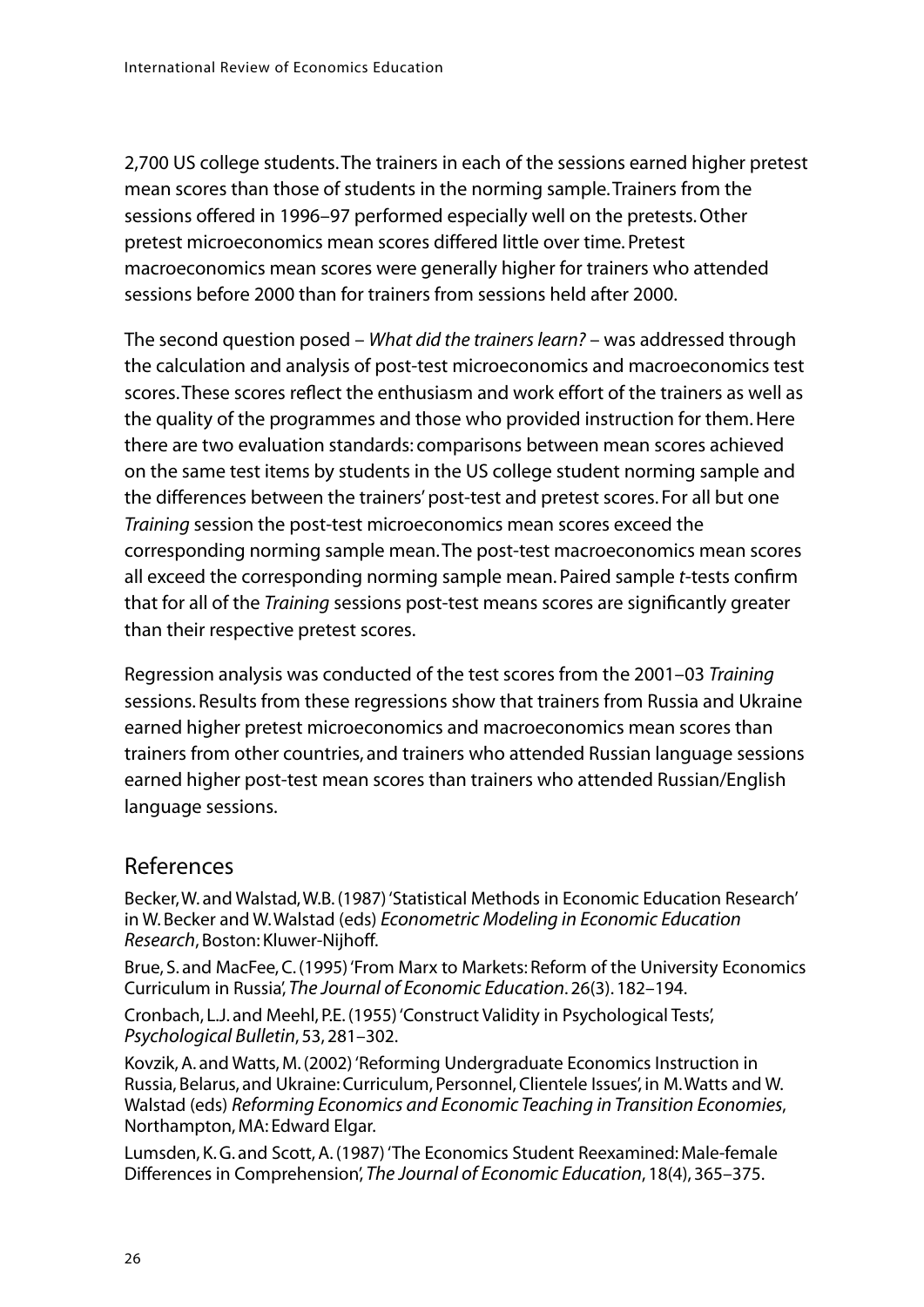2,700 US college students.The trainers in each of the sessions earned higher pretest mean scores than those of students in the norming sample.Trainers from the sessions offered in 1996–97 performed especially well on the pretests. Other pretest microeconomics mean scores differed little over time. Pretest macroeconomics mean scores were generally higher for trainers who attended sessions before 2000 than for trainers from sessions held after 2000.

The second question posed – *What did the trainers learn?* – was addressed through the calculation and analysis of post-test microeconomics and macroeconomics test scores.These scores reflect the enthusiasm and work effort of the trainers as well as the quality of the programmes and those who provided instruction for them. Here there are two evaluation standards: comparisons between mean scores achieved on the same test items by students in the US college student norming sample and the differences between the trainers' post-test and pretest scores. For all but one *Training* session the post-test microeconomics mean scores exceed the corresponding norming sample mean.The post-test macroeconomics mean scores all exceed the corresponding norming sample mean. Paired sample *t*-tests confirm that for all of the *Training* sessions post-test means scores are significantly greater than their respective pretest scores.

Regression analysis was conducted of the test scores from the 2001–03 *Training* sessions. Results from these regressions show that trainers from Russia and Ukraine earned higher pretest microeconomics and macroeconomics mean scores than trainers from other countries, and trainers who attended Russian language sessions earned higher post-test mean scores than trainers who attended Russian/English language sessions.

## References

Becker, W. and Walstad, W.B. (1987) 'Statistical Methods in Economic Education Research' in W. Becker and W.Walstad (eds) *Econometric Modeling in Economic Education Research*, Boston: Kluwer-Nijhoff.

Brue, S. and MacFee, C. (1995) 'From Marx to Markets: Reform of the University Economics Curriculum in Russia', *The Journal of Economic Education*. 26(3). 182–194.

Cronbach, L.J. and Meehl, P.E. (1955) 'Construct Validity in Psychological Tests', *Psychological Bulletin*, 53, 281–302.

Kovzik, A. and Watts, M. (2002) 'Reforming Undergraduate Economics Instruction in Russia, Belarus, and Ukraine: Curriculum, Personnel, Clientele Issues', in M.Watts and W. Walstad (eds) *Reforming Economics and Economic Teaching in Transition Economies*, Northampton, MA: Edward Elgar.

Lumsden, K. G. and Scott, A. (1987) 'The Economics Student Reexamined: Male-female Differences in Comprehension', *The Journal of Economic Education*, 18(4), 365–375.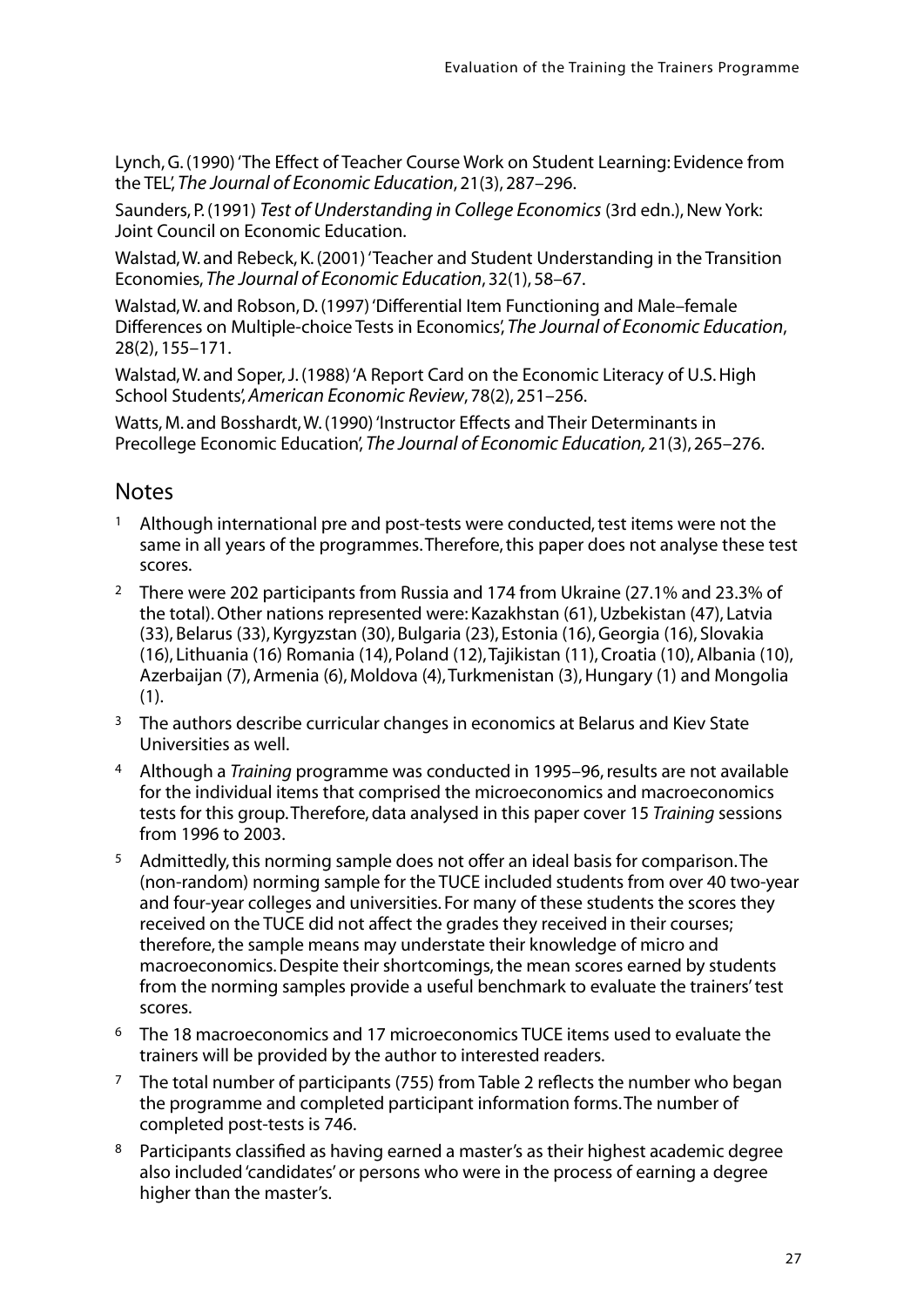Lynch, G. (1990) 'The Effect of Teacher Course Work on Student Learning: Evidence from the TEL', *The Journal of Economic Education*, 21(3), 287–296.

Saunders, P. (1991) *Test of Understanding in College Economics* (3rd edn.), New York: Joint Council on Economic Education.

Walstad, W. and Rebeck, K. (2001) 'Teacher and Student Understanding in the Transition Economies, *The Journal of Economic Education*, 32(1), 58–67.

Walstad, W. and Robson, D. (1997) 'Differential Item Functioning and Male–female Differences on Multiple-choice Tests in Economics', *The Journal of Economic Education*, 28(2), 155–171.

Walstad, W. and Soper, J. (1988) 'A Report Card on the Economic Literacy of U.S. High School Students',*American Economic Review*, 78(2), 251–256.

Watts, M. and Bosshardt, W. (1990) 'Instructor Effects and Their Determinants in Precollege Economic Education', *The Journal of Economic Education,* 21(3), 265–276.

### Notes

- <sup>1</sup> Although international pre and post-tests were conducted, test items were not the same in all years of the programmes.Therefore, this paper does not analyse these test scores.
- 2 There were 202 participants from Russia and 174 from Ukraine (27.1% and 23.3% of the total).Other nations represented were: Kazakhstan (61), Uzbekistan (47), Latvia (33), Belarus (33), Kyrgyzstan (30), Bulgaria (23), Estonia (16), Georgia (16), Slovakia (16), Lithuania (16) Romania (14), Poland (12),Tajikistan (11), Croatia (10), Albania (10), Azerbaijan (7),Armenia (6), Moldova (4),Turkmenistan (3), Hungary (1) and Mongolia (1).
- <sup>3</sup> The authors describe curricular changes in economics at Belarus and Kiev State Universities as well.
- <sup>4</sup> Although a *Training* programme was conducted in 1995–96, results are not available for the individual items that comprised the microeconomics and macroeconomics tests for this group.Therefore, data analysed in this paper cover 15 *Training* sessions from 1996 to 2003.
- 5 Admittedly, this norming sample does not offer an ideal basis for comparison.The (non-random) norming sample for the TUCE included students from over 40 two-year and four-year colleges and universities. For many of these students the scores they received on the TUCE did not affect the grades they received in their courses; therefore, the sample means may understate their knowledge of micro and macroeconomics.Despite their shortcomings, the mean scores earned by students from the norming samples provide a useful benchmark to evaluate the trainers' test scores.
- 6 The 18 macroeconomics and 17 microeconomics TUCE items used to evaluate the trainers will be provided by the author to interested readers.
- $7$  The total number of participants (755) from Table 2 reflects the number who began the programme and completed participant information forms.The number of completed post-tests is 746.
- 8 Participants classified as having earned a master's as their highest academic degree also included 'candidates' or persons who were in the process of earning a degree higher than the master's.